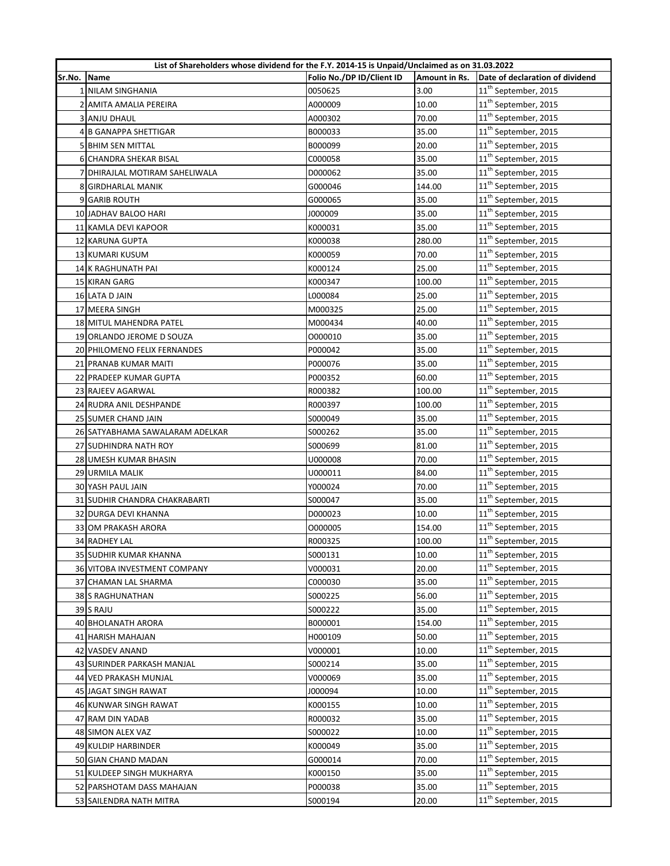|        | List of Shareholders whose dividend for the F.Y. 2014-15 is Unpaid/Unclaimed as on 31.03.2022 |                           |               |                                  |
|--------|-----------------------------------------------------------------------------------------------|---------------------------|---------------|----------------------------------|
| Sr.No. | Name                                                                                          | Folio No./DP ID/Client ID | Amount in Rs. | Date of declaration of dividend  |
|        | 1 NILAM SINGHANIA                                                                             | 0050625                   | 3.00          | 11 <sup>th</sup> September, 2015 |
|        | 2 AMITA AMALIA PEREIRA                                                                        | A000009                   | 10.00         | 11 <sup>th</sup> September, 2015 |
|        | 3 ANJU DHAUL                                                                                  | A000302                   | 70.00         | 11 <sup>th</sup> September, 2015 |
|        | 4 B GANAPPA SHETTIGAR                                                                         | B000033                   | 35.00         | $11^{\text{th}}$ September, 2015 |
|        | 5 BHIM SEN MITTAL                                                                             | B000099                   | 20.00         | 11 <sup>th</sup> September, 2015 |
|        | 6 CHANDRA SHEKAR BISAL                                                                        | C000058                   | 35.00         | 11 <sup>th</sup> September, 2015 |
|        | 7 DHIRAJLAL MOTIRAM SAHELIWALA                                                                | D000062                   | 35.00         | 11 <sup>th</sup> September, 2015 |
|        | 8 GIRDHARLAL MANIK                                                                            | G000046                   | 144.00        | 11 <sup>th</sup> September, 2015 |
|        | 9 GARIB ROUTH                                                                                 | G000065                   | 35.00         | 11 <sup>th</sup> September, 2015 |
|        | <b>10 JADHAV BALOO HARI</b>                                                                   | J000009                   | 35.00         | 11 <sup>th</sup> September, 2015 |
|        | 11 KAMLA DEVI KAPOOR                                                                          | K000031                   | 35.00         | 11 <sup>th</sup> September, 2015 |
|        | 12 KARUNA GUPTA                                                                               | K000038                   | 280.00        | 11 <sup>th</sup> September, 2015 |
|        | 13 KUMARI KUSUM                                                                               | K000059                   | 70.00         | 11 <sup>th</sup> September, 2015 |
|        | 14 K RAGHUNATH PAI                                                                            | K000124                   | 25.00         | 11 <sup>th</sup> September, 2015 |
|        | 15 KIRAN GARG                                                                                 | K000347                   | 100.00        | 11 <sup>th</sup> September, 2015 |
|        | 16 LATA D JAIN                                                                                | L000084                   | 25.00         | 11 <sup>th</sup> September, 2015 |
|        | 17 MEERA SINGH                                                                                | M000325                   | 25.00         | 11 <sup>th</sup> September, 2015 |
|        | 18 MITUL MAHENDRA PATEL                                                                       | M000434                   | 40.00         | 11 <sup>th</sup> September, 2015 |
|        | 19 ORLANDO JEROME D SOUZA                                                                     | 0000010                   | 35.00         | 11 <sup>th</sup> September, 2015 |
|        | 20 PHILOMENO FELIX FERNANDES                                                                  | P000042                   | 35.00         | 11 <sup>th</sup> September, 2015 |
|        | 21 PRANAB KUMAR MAITI                                                                         | P000076                   | 35.00         | 11 <sup>th</sup> September, 2015 |
|        | 22 PRADEEP KUMAR GUPTA                                                                        | P000352                   | 60.00         | 11 <sup>th</sup> September, 2015 |
|        | 23 RAJEEV AGARWAL                                                                             | R000382                   | 100.00        | 11 <sup>th</sup> September, 2015 |
|        | 24 RUDRA ANIL DESHPANDE                                                                       | R000397                   | 100.00        | 11 <sup>th</sup> September, 2015 |
|        | 25 SUMER CHAND JAIN                                                                           | S000049                   | 35.00         | 11 <sup>th</sup> September, 2015 |
|        | 26 SATYABHAMA SAWALARAM ADELKAR                                                               | S000262                   | 35.00         | 11 <sup>th</sup> September, 2015 |
|        | 27 SUDHINDRA NATH ROY                                                                         | S000699                   | 81.00         | 11 <sup>th</sup> September, 2015 |
|        | 28 UMESH KUMAR BHASIN                                                                         | U000008                   | 70.00         | 11 <sup>th</sup> September, 2015 |
|        | 29 URMILA MALIK                                                                               | U000011                   | 84.00         | 11 <sup>th</sup> September, 2015 |
|        | <b>30 YASH PAUL JAIN</b>                                                                      | Y000024                   | 70.00         | 11 <sup>th</sup> September, 2015 |
|        | 31 SUDHIR CHANDRA CHAKRABARTI                                                                 | S000047                   | 35.00         | 11 <sup>th</sup> September, 2015 |
|        | 32 DURGA DEVI KHANNA                                                                          | D000023                   | 10.00         | 11 <sup>th</sup> September, 2015 |
|        | 33 OM PRAKASH ARORA                                                                           | 0000005                   | 154.00        | 11 <sup>th</sup> September, 2015 |
|        | 34 RADHEY LAL                                                                                 | R000325                   | 100.00        | 11 <sup>th</sup> September, 2015 |
|        | <b>35 SUDHIR KUMAR KHANNA</b>                                                                 | S000131                   | 10.00         | 11 <sup>th</sup> September, 2015 |
|        | 36 VITOBA INVESTMENT COMPANY                                                                  | V000031                   | 20.00         | 11 <sup>th</sup> September, 2015 |
|        | 37 CHAMAN LAL SHARMA                                                                          | C000030                   | 35.00         | 11 <sup>th</sup> September, 2015 |
|        | 38 S RAGHUNATHAN                                                                              | S000225                   | 56.00         | 11 <sup>th</sup> September, 2015 |
|        | 39 S RAJU                                                                                     | S000222                   | 35.00         | 11 <sup>th</sup> September, 2015 |
|        | 40 BHOLANATH ARORA                                                                            | B000001                   | 154.00        | 11 <sup>th</sup> September, 2015 |
|        | 41 HARISH MAHAJAN                                                                             | H000109                   | 50.00         | 11 <sup>th</sup> September, 2015 |
|        | 42 VASDEV ANAND                                                                               | V000001                   | 10.00         | 11 <sup>th</sup> September, 2015 |
|        | 43 SURINDER PARKASH MANJAL                                                                    | S000214                   | 35.00         | 11 <sup>th</sup> September, 2015 |
|        | 44 VED PRAKASH MUNJAL                                                                         | V000069                   | 35.00         | 11 <sup>th</sup> September, 2015 |
|        | 45 JAGAT SINGH RAWAT                                                                          | J000094                   | 10.00         | 11 <sup>th</sup> September, 2015 |
|        | 46 KUNWAR SINGH RAWAT                                                                         | K000155                   | 10.00         | 11 <sup>th</sup> September, 2015 |
|        | 47 RAM DIN YADAB                                                                              | R000032                   | 35.00         | 11 <sup>th</sup> September, 2015 |
|        | 48 SIMON ALEX VAZ                                                                             | S000022                   | 10.00         | 11 <sup>th</sup> September, 2015 |
|        | 49 KULDIP HARBINDER                                                                           | K000049                   | 35.00         | 11 <sup>th</sup> September, 2015 |
|        | 50 GIAN CHAND MADAN                                                                           | G000014                   | 70.00         | 11 <sup>th</sup> September, 2015 |
|        | 51 KULDEEP SINGH MUKHARYA                                                                     | K000150                   | 35.00         | 11 <sup>th</sup> September, 2015 |
|        | 52 PARSHOTAM DASS MAHAJAN                                                                     | P000038                   | 35.00         | 11 <sup>th</sup> September, 2015 |
|        | 53 SAILENDRA NATH MITRA                                                                       | S000194                   | 20.00         | 11 <sup>th</sup> September, 2015 |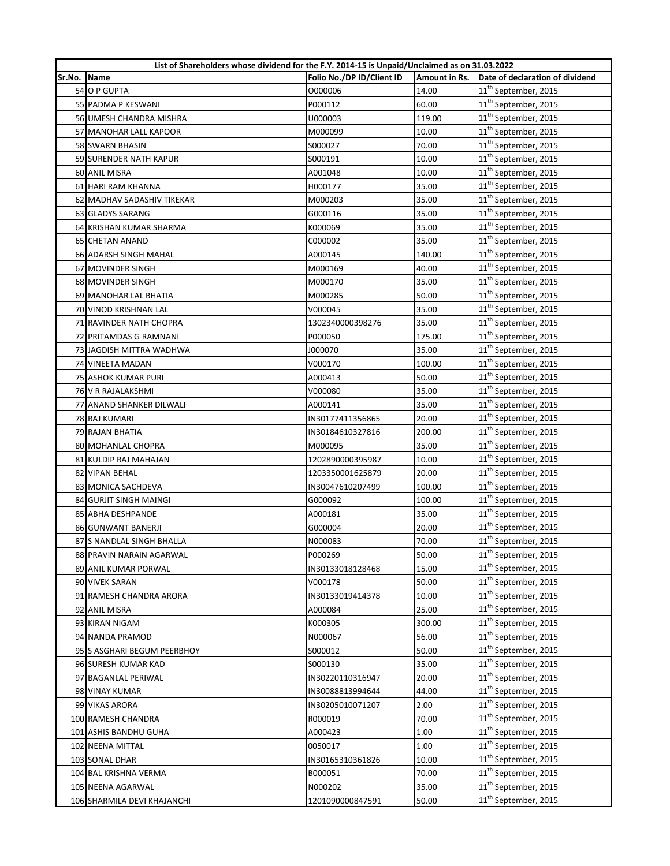|        | List of Shareholders whose dividend for the F.Y. 2014-15 is Unpaid/Unclaimed as on 31.03.2022 |                           |               |                                  |
|--------|-----------------------------------------------------------------------------------------------|---------------------------|---------------|----------------------------------|
| Sr.No. | Name                                                                                          | Folio No./DP ID/Client ID | Amount in Rs. | Date of declaration of dividend  |
|        | 54 O P GUPTA                                                                                  | 0000006                   | 14.00         | 11 <sup>th</sup> September, 2015 |
|        | 55 PADMA P KESWANI                                                                            | P000112                   | 60.00         | 11 <sup>th</sup> September, 2015 |
|        | 56 UMESH CHANDRA MISHRA                                                                       | U000003                   | 119.00        | 11 <sup>th</sup> September, 2015 |
|        | 57 MANOHAR LALL KAPOOR                                                                        | M000099                   | 10.00         | 11 <sup>th</sup> September, 2015 |
|        | 58 SWARN BHASIN                                                                               | S000027                   | 70.00         | 11 <sup>th</sup> September, 2015 |
|        | 59 SURENDER NATH KAPUR                                                                        | S000191                   | 10.00         | 11 <sup>th</sup> September, 2015 |
|        | 60 ANIL MISRA                                                                                 | A001048                   | 10.00         | 11 <sup>th</sup> September, 2015 |
|        | 61 HARI RAM KHANNA                                                                            | H000177                   | 35.00         | 11 <sup>th</sup> September, 2015 |
|        | 62 MADHAV SADASHIV TIKEKAR                                                                    | M000203                   | 35.00         | 11 <sup>th</sup> September, 2015 |
|        | 63 GLADYS SARANG                                                                              | G000116                   | 35.00         | 11 <sup>th</sup> September, 2015 |
|        | 64 KRISHAN KUMAR SHARMA                                                                       | K000069                   | 35.00         | 11 <sup>th</sup> September, 2015 |
|        | 65 CHETAN ANAND                                                                               | C000002                   | 35.00         | 11 <sup>th</sup> September, 2015 |
|        | 66 ADARSH SINGH MAHAL                                                                         | A000145                   | 140.00        | 11 <sup>th</sup> September, 2015 |
|        | 67 MOVINDER SINGH                                                                             | M000169                   | 40.00         | 11 <sup>th</sup> September, 2015 |
|        | 68 MOVINDER SINGH                                                                             | M000170                   | 35.00         | 11 <sup>th</sup> September, 2015 |
|        | 69 MANOHAR LAL BHATIA                                                                         | M000285                   | 50.00         | 11 <sup>th</sup> September, 2015 |
|        | 70 VINOD KRISHNAN LAL                                                                         | V000045                   | 35.00         | 11 <sup>th</sup> September, 2015 |
|        | 71 RAVINDER NATH CHOPRA                                                                       | 1302340000398276          | 35.00         | 11 <sup>th</sup> September, 2015 |
|        | 72 PRITAMDAS G RAMNANI                                                                        | P000050                   | 175.00        | 11 <sup>th</sup> September, 2015 |
|        | 73 JAGDISH MITTRA WADHWA                                                                      | J000070                   | 35.00         | $11^{\text{th}}$ September, 2015 |
|        | 74 VINEETA MADAN                                                                              | V000170                   | 100.00        | 11 <sup>th</sup> September, 2015 |
|        | 75 ASHOK KUMAR PURI                                                                           | A000413                   | 50.00         | 11 <sup>th</sup> September, 2015 |
|        | 76 V R RAJALAKSHMI                                                                            | V000080                   | 35.00         | 11 <sup>th</sup> September, 2015 |
|        | 77 ANAND SHANKER DILWALI                                                                      | A000141                   | 35.00         | 11 <sup>th</sup> September, 2015 |
|        | 78 RAJ KUMARI                                                                                 | IN30177411356865          | 20.00         | 11 <sup>th</sup> September, 2015 |
|        | 79 RAJAN BHATIA                                                                               | IN30184610327816          | 200.00        | 11 <sup>th</sup> September, 2015 |
|        | 80 MOHANLAL CHOPRA                                                                            | M000095                   | 35.00         | 11 <sup>th</sup> September, 2015 |
|        | 81 KULDIP RAJ MAHAJAN                                                                         | 1202890000395987          | 10.00         | 11 <sup>th</sup> September, 2015 |
|        | 82 VIPAN BEHAL                                                                                | 1203350001625879          | 20.00         | 11 <sup>th</sup> September, 2015 |
|        | 83 MONICA SACHDEVA                                                                            | IN30047610207499          | 100.00        | 11 <sup>th</sup> September, 2015 |
|        | 84 GURJIT SINGH MAINGI                                                                        | G000092                   | 100.00        | 11 <sup>th</sup> September, 2015 |
|        | 85 ABHA DESHPANDE                                                                             | A000181                   | 35.00         | 11 <sup>th</sup> September, 2015 |
|        | 86 GUNWANT BANERJI                                                                            | G000004                   | 20.00         | $11^{\text{th}}$ September, 2015 |
|        | 87 S NANDLAL SINGH BHALLA                                                                     | N000083                   | 70.00         | 11 <sup>th</sup> September, 2015 |
|        | 88 PRAVIN NARAIN AGARWAL                                                                      | P000269                   | 50.00         | 11 <sup>th</sup> September, 2015 |
|        | <b>89 ANIL KUMAR PORWAL</b>                                                                   | IN30133018128468          | 15.00         | 11 <sup>th</sup> September, 2015 |
|        | 90 VIVEK SARAN                                                                                | V000178                   | 50.00         | 11 <sup>th</sup> September, 2015 |
|        | 91 RAMESH CHANDRA ARORA                                                                       | IN30133019414378          | 10.00         | 11 <sup>th</sup> September, 2015 |
|        | 92 ANIL MISRA                                                                                 | A000084                   | 25.00         | 11 <sup>th</sup> September, 2015 |
|        | 93 KIRAN NIGAM                                                                                | K000305                   | 300.00        | 11 <sup>th</sup> September, 2015 |
|        | 94 NANDA PRAMOD                                                                               | N000067                   | 56.00         | 11 <sup>th</sup> September, 2015 |
|        | 95 S ASGHARI BEGUM PEERBHOY                                                                   | S000012                   | 50.00         | 11 <sup>th</sup> September, 2015 |
|        | 96 SURESH KUMAR KAD                                                                           | S000130                   | 35.00         | 11 <sup>th</sup> September, 2015 |
|        | 97 BAGANLAL PERIWAL                                                                           | IN30220110316947          | 20.00         | 11 <sup>th</sup> September, 2015 |
|        | 98 VINAY KUMAR                                                                                | IN30088813994644          | 44.00         | 11 <sup>th</sup> September, 2015 |
|        | 99 VIKAS ARORA                                                                                | IN30205010071207          | 2.00          | 11 <sup>th</sup> September, 2015 |
|        | 100 RAMESH CHANDRA                                                                            | R000019                   | 70.00         | 11 <sup>th</sup> September, 2015 |
|        | 101 ASHIS BANDHU GUHA                                                                         | A000423                   | 1.00          | 11 <sup>th</sup> September, 2015 |
|        | 102 NEENA MITTAL                                                                              | 0050017                   | 1.00          | 11 <sup>th</sup> September, 2015 |
|        | 103 SONAL DHAR                                                                                | IN30165310361826          | 10.00         | 11 <sup>th</sup> September, 2015 |
|        | 104 BAL KRISHNA VERMA                                                                         | B000051                   | 70.00         | 11 <sup>th</sup> September, 2015 |
|        | 105 NEENA AGARWAL                                                                             | N000202                   | 35.00         | 11 <sup>th</sup> September, 2015 |
|        | 106 SHARMILA DEVI KHAJANCHI                                                                   | 1201090000847591          | 50.00         | 11 <sup>th</sup> September, 2015 |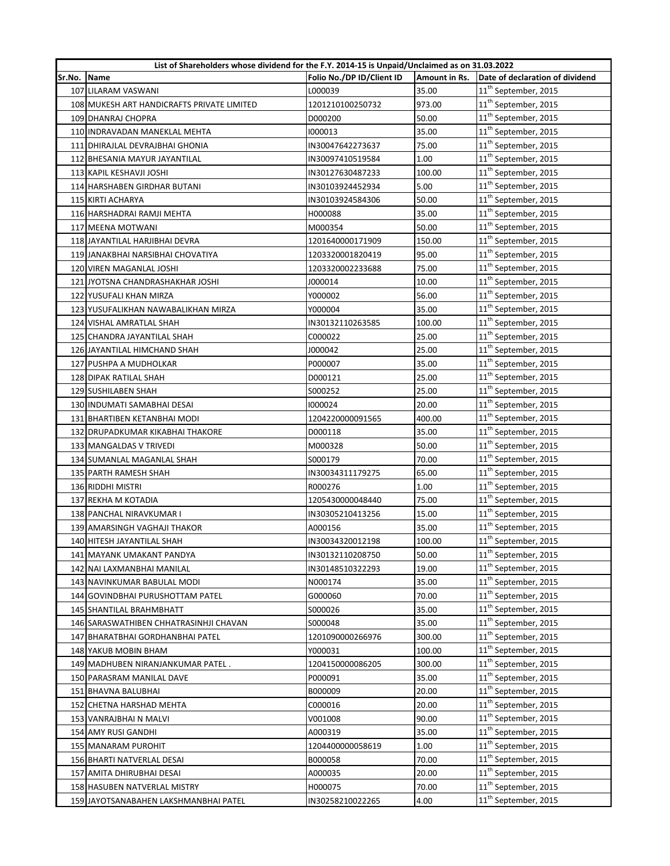|        | List of Shareholders whose dividend for the F.Y. 2014-15 is Unpaid/Unclaimed as on 31.03.2022 |                           |               |                                  |
|--------|-----------------------------------------------------------------------------------------------|---------------------------|---------------|----------------------------------|
| Sr.No. | <b>Name</b>                                                                                   | Folio No./DP ID/Client ID | Amount in Rs. | Date of declaration of dividend  |
|        | 107 LILARAM VASWANI                                                                           | L000039                   | 35.00         | 11 <sup>th</sup> September, 2015 |
|        | 108 MUKESH ART HANDICRAFTS PRIVATE LIMITED                                                    | 1201210100250732          | 973.00        | 11 <sup>th</sup> September, 2015 |
|        | 109 DHANRAJ CHOPRA                                                                            | D000200                   | 50.00         | 11 <sup>th</sup> September, 2015 |
|        | 110 INDRAVADAN MANEKLAL MEHTA                                                                 | 1000013                   | 35.00         | 11 <sup>th</sup> September, 2015 |
|        | 111 DHIRAJLAL DEVRAJBHAI GHONIA                                                               | IN30047642273637          | 75.00         | 11 <sup>th</sup> September, 2015 |
|        | 112 BHESANIA MAYUR JAYANTILAL                                                                 | IN30097410519584          | 1.00          | 11 <sup>th</sup> September, 2015 |
|        | 113 KAPIL KESHAVJI JOSHI                                                                      | IN30127630487233          | 100.00        | $11^{\text{th}}$ September, 2015 |
|        | 114 HARSHABEN GIRDHAR BUTANI                                                                  | IN30103924452934          | 5.00          | 11 <sup>th</sup> September, 2015 |
|        | 115 KIRTI ACHARYA                                                                             | IN30103924584306          | 50.00         | 11 <sup>th</sup> September, 2015 |
|        | 116 HARSHADRAI RAMJI MEHTA                                                                    | H000088                   | 35.00         | 11 <sup>th</sup> September, 2015 |
|        | 117 MEENA MOTWANI                                                                             | M000354                   | 50.00         | 11 <sup>th</sup> September, 2015 |
|        | 118 JAYANTILAL HARJIBHAI DEVRA                                                                | 1201640000171909          | 150.00        | 11 <sup>th</sup> September, 2015 |
|        | 119 JANAKBHAI NARSIBHAI CHOVATIYA                                                             | 1203320001820419          | 95.00         | 11 <sup>th</sup> September, 2015 |
|        | 120 VIREN MAGANLAL JOSHI                                                                      | 1203320002233688          | 75.00         | 11 <sup>th</sup> September, 2015 |
|        | 121 JYOTSNA CHANDRASHAKHAR JOSHI                                                              | J000014                   | 10.00         | 11 <sup>th</sup> September, 2015 |
|        | 122 YUSUFALI KHAN MIRZA                                                                       | Y000002                   | 56.00         | 11 <sup>th</sup> September, 2015 |
|        | 123 YUSUFALIKHAN NAWABALIKHAN MIRZA                                                           | Y000004                   | 35.00         | $11^{\text{th}}$ September, 2015 |
|        | 124 VISHAL AMRATLAL SHAH                                                                      | IN30132110263585          | 100.00        | 11 <sup>th</sup> September, 2015 |
|        | 125 CHANDRA JAYANTILAL SHAH                                                                   | C000022                   | 25.00         | 11 <sup>th</sup> September, 2015 |
|        | 126 JAYANTILAL HIMCHAND SHAH                                                                  | J000042                   | 25.00         | 11 <sup>th</sup> September, 2015 |
|        | 127 PUSHPA A MUDHOLKAR                                                                        | P000007                   | 35.00         | 11 <sup>th</sup> September, 2015 |
|        | 128 DIPAK RATILAL SHAH                                                                        | D000121                   | 25.00         | 11 <sup>th</sup> September, 2015 |
|        | 129 SUSHILABEN SHAH                                                                           | S000252                   | 25.00         | 11 <sup>th</sup> September, 2015 |
|        | 130 INDUMATI SAMABHAI DESAI                                                                   | 1000024                   | 20.00         | 11 <sup>th</sup> September, 2015 |
|        | 131 BHARTIBEN KETANBHAI MODI                                                                  | 1204220000091565          | 400.00        | 11 <sup>th</sup> September, 2015 |
|        | 132 DRUPADKUMAR KIKABHAI THAKORE                                                              | D000118                   | 35.00         | 11 <sup>th</sup> September, 2015 |
|        | 133 MANGALDAS V TRIVEDI                                                                       | M000328                   | 50.00         | 11 <sup>th</sup> September, 2015 |
|        | 134 SUMANLAL MAGANLAL SHAH                                                                    | S000179                   | 70.00         | $11^{\text{th}}$ September, 2015 |
|        | 135 PARTH RAMESH SHAH                                                                         | IN30034311179275          | 65.00         | 11 <sup>th</sup> September, 2015 |
|        | 136 RIDDHI MISTRI                                                                             | R000276                   | 1.00          | 11 <sup>th</sup> September, 2015 |
|        | 137 REKHA M KOTADIA                                                                           | 1205430000048440          | 75.00         | 11 <sup>th</sup> September, 2015 |
|        | 138 PANCHAL NIRAVKUMAR I                                                                      | IN30305210413256          | 15.00         | 11 <sup>th</sup> September, 2015 |
|        | 139 AMARSINGH VAGHAJI THAKOR                                                                  | A000156                   | 35.00         | $11^{\text{th}}$ September, 2015 |
|        | 140 HITESH JAYANTILAL SHAH                                                                    | IN30034320012198          | 100.00        | $11^{\text{th}}$ September, 2015 |
|        | 141 MAYANK UMAKANT PANDYA                                                                     | IN30132110208750          | 50.00         | 11 <sup>th</sup> September, 2015 |
|        | 142 NAI LAXMANBHAI MANILAL                                                                    | IN30148510322293          | 19.00         | 11 <sup>th</sup> September, 2015 |
|        | 143 NAVINKUMAR BABULAL MODI                                                                   | N000174                   | 35.00         | 11 <sup>th</sup> September, 2015 |
|        | 144 GOVINDBHAI PURUSHOTTAM PATEL                                                              | G000060                   | 70.00         | 11 <sup>th</sup> September, 2015 |
|        | 145 SHANTILAL BRAHMBHATT                                                                      | S000026                   | 35.00         | 11 <sup>th</sup> September, 2015 |
|        | 146 SARASWATHIBEN CHHATRASINHJI CHAVAN                                                        | S000048                   | 35.00         | 11 <sup>th</sup> September, 2015 |
|        | 147 BHARATBHAI GORDHANBHAI PATEL                                                              | 1201090000266976          | 300.00        | $11^{\text{th}}$ September, 2015 |
|        | 148 YAKUB MOBIN BHAM                                                                          | Y000031                   | 100.00        | $11^{\text{th}}$ September, 2015 |
|        | 149 MADHUBEN NIRANJANKUMAR PATEL.                                                             | 1204150000086205          | 300.00        | 11 <sup>th</sup> September, 2015 |
|        | 150 PARASRAM MANILAL DAVE                                                                     | P000091                   | 35.00         | 11 <sup>th</sup> September, 2015 |
|        | 151 BHAVNA BALUBHAI                                                                           | B000009                   | 20.00         | 11 <sup>th</sup> September, 2015 |
|        | 152 CHETNA HARSHAD MEHTA                                                                      | C000016                   | 20.00         | 11 <sup>th</sup> September, 2015 |
|        | 153 VANRAJBHAI N MALVI                                                                        | V001008                   | 90.00         | 11 <sup>th</sup> September, 2015 |
|        | 154 AMY RUSI GANDHI                                                                           | A000319                   | 35.00         | 11 <sup>th</sup> September, 2015 |
|        | 155 MANARAM PUROHIT                                                                           | 1204400000058619          | 1.00          | 11 <sup>th</sup> September, 2015 |
|        | 156 BHARTI NATVERLAL DESAI                                                                    | B000058                   | 70.00         | 11 <sup>th</sup> September, 2015 |
|        | 157 AMITA DHIRUBHAI DESAI                                                                     | A000035                   | 20.00         | 11 <sup>th</sup> September, 2015 |
|        | 158 HASUBEN NATVERLAL MISTRY                                                                  | H000075                   | 70.00         | 11 <sup>th</sup> September, 2015 |
|        | 159 JAYOTSANABAHEN LAKSHMANBHAI PATEL                                                         | IN30258210022265          | 4.00          | 11 <sup>th</sup> September, 2015 |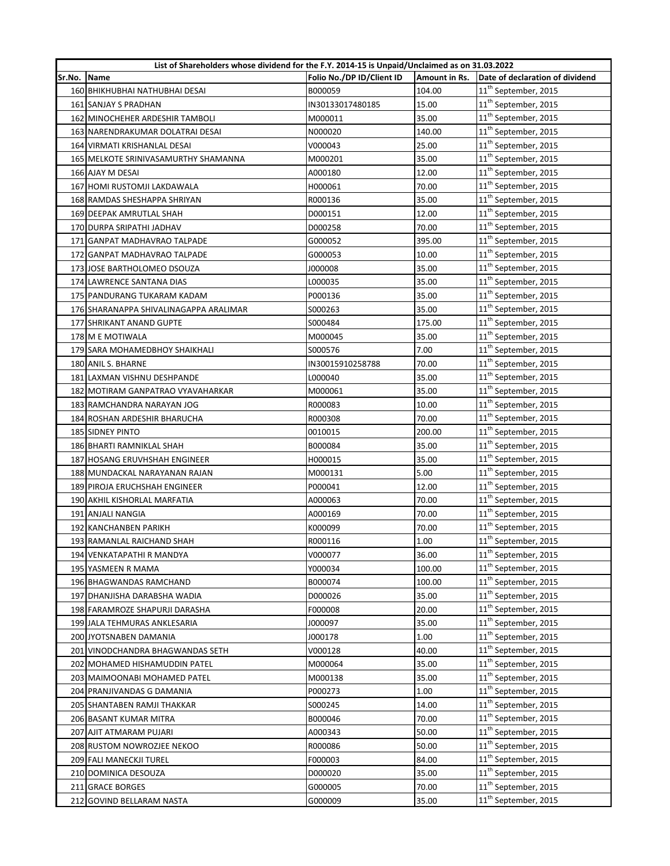|        | List of Shareholders whose dividend for the F.Y. 2014-15 is Unpaid/Unclaimed as on 31.03.2022 |                           |               |                                  |
|--------|-----------------------------------------------------------------------------------------------|---------------------------|---------------|----------------------------------|
| Sr.No. | <b>Name</b>                                                                                   | Folio No./DP ID/Client ID | Amount in Rs. | Date of declaration of dividend  |
|        | 160 BHIKHUBHAI NATHUBHAI DESAI                                                                | B000059                   | 104.00        | 11 <sup>th</sup> September, 2015 |
|        | 161 SANJAY S PRADHAN                                                                          | IN30133017480185          | 15.00         | 11 <sup>th</sup> September, 2015 |
|        | 162 MINOCHEHER ARDESHIR TAMBOLI                                                               | M000011                   | 35.00         | 11 <sup>th</sup> September, 2015 |
|        | 163 NARENDRAKUMAR DOLATRAI DESAI                                                              | N000020                   | 140.00        | 11 <sup>th</sup> September, 2015 |
|        | 164 VIRMATI KRISHANLAL DESAI                                                                  | V000043                   | 25.00         | 11 <sup>th</sup> September, 2015 |
|        | 165 MELKOTE SRINIVASAMURTHY SHAMANNA                                                          | M000201                   | 35.00         | 11 <sup>th</sup> September, 2015 |
|        | 166 AJAY M DESAI                                                                              | A000180                   | 12.00         | $11^{\text{th}}$ September, 2015 |
|        | 167 HOMI RUSTOMJI LAKDAWALA                                                                   | H000061                   | 70.00         | $11^{\text{th}}$ September, 2015 |
|        | 168 RAMDAS SHESHAPPA SHRIYAN                                                                  | R000136                   | 35.00         | 11 <sup>th</sup> September, 2015 |
|        | 169 DEEPAK AMRUTLAL SHAH                                                                      | D000151                   | 12.00         | 11 <sup>th</sup> September, 2015 |
|        | 170 DURPA SRIPATHI JADHAV                                                                     | D000258                   | 70.00         | 11 <sup>th</sup> September, 2015 |
|        | 171 GANPAT MADHAVRAO TALPADE                                                                  | G000052                   | 395.00        | 11 <sup>th</sup> September, 2015 |
|        | 172 GANPAT MADHAVRAO TALPADE                                                                  | G000053                   | 10.00         | 11 <sup>th</sup> September, 2015 |
|        | 173 JOSE BARTHOLOMEO DSOUZA                                                                   | J000008                   | 35.00         | 11 <sup>th</sup> September, 2015 |
|        | 174 LAWRENCE SANTANA DIAS                                                                     | L000035                   | 35.00         | 11 <sup>th</sup> September, 2015 |
|        | 175 PANDURANG TUKARAM KADAM                                                                   | P000136                   | 35.00         | 11 <sup>th</sup> September, 2015 |
|        | 176 SHARANAPPA SHIVALINAGAPPA ARALIMAR                                                        | S000263                   | 35.00         | 11 <sup>th</sup> September, 2015 |
|        | 177 SHRIKANT ANAND GUPTE                                                                      | S000484                   | 175.00        | 11 <sup>th</sup> September, 2015 |
|        | 178 M E MOTIWALA                                                                              | M000045                   | 35.00         | 11 <sup>th</sup> September, 2015 |
|        | 179 SARA MOHAMEDBHOY SHAIKHALI                                                                | S000576                   | 7.00          | 11 <sup>th</sup> September, 2015 |
|        | 180 ANIL S. BHARNE                                                                            | IN30015910258788          | 70.00         | 11 <sup>th</sup> September, 2015 |
|        | 181 LAXMAN VISHNU DESHPANDE                                                                   | L000040                   | 35.00         | 11 <sup>th</sup> September, 2015 |
|        | 182 MOTIRAM GANPATRAO VYAVAHARKAR                                                             | M000061                   | 35.00         | 11 <sup>th</sup> September, 2015 |
|        | 183 RAMCHANDRA NARAYAN JOG                                                                    | R000083                   | 10.00         | 11 <sup>th</sup> September, 2015 |
|        | 184 ROSHAN ARDESHIR BHARUCHA                                                                  | R000308                   | 70.00         | 11 <sup>th</sup> September, 2015 |
|        | 185 SIDNEY PINTO                                                                              | 0010015                   | 200.00        | 11 <sup>th</sup> September, 2015 |
|        | 186 BHARTI RAMNIKLAL SHAH                                                                     | B000084                   | 35.00         | 11 <sup>th</sup> September, 2015 |
|        | 187 HOSANG ERUVHSHAH ENGINEER                                                                 | H000015                   | 35.00         | $11^{\text{th}}$ September, 2015 |
|        | 188 MUNDACKAL NARAYANAN RAJAN                                                                 | M000131                   | 5.00          | 11 <sup>th</sup> September, 2015 |
|        | 189 PIROJA ERUCHSHAH ENGINEER                                                                 | P000041                   | 12.00         | 11 <sup>th</sup> September, 2015 |
|        | 190 AKHIL KISHORLAL MARFATIA                                                                  | A000063                   | 70.00         | 11 <sup>th</sup> September, 2015 |
|        | 191 ANJALI NANGIA                                                                             | A000169                   | 70.00         | $11^{\text{th}}$ September, 2015 |
|        | 192 KANCHANBEN PARIKH                                                                         | K000099                   | 70.00         | $11^{\text{th}}$ September, 2015 |
|        | 193 RAMANLAL RAICHAND SHAH                                                                    | R000116                   | 1.00          | $11^{\text{th}}$ September, 2015 |
|        | 194 VENKATAPATHI R MANDYA                                                                     | V000077                   | 36.00         | 11 <sup>th</sup> September, 2015 |
|        | 195 YASMEEN R MAMA                                                                            | Y000034                   | 100.00        | 11 <sup>th</sup> September, 2015 |
|        | 196 BHAGWANDAS RAMCHAND                                                                       | B000074                   | 100.00        | 11 <sup>th</sup> September, 2015 |
|        | 197 DHANJISHA DARABSHA WADIA                                                                  | D000026                   | 35.00         | 11 <sup>th</sup> September, 2015 |
|        | 198 FARAMROZE SHAPURJI DARASHA                                                                | F000008                   | 20.00         | 11 <sup>th</sup> September, 2015 |
|        | 199 JALA TEHMURAS ANKLESARIA                                                                  | J000097                   | 35.00         | 11 <sup>th</sup> September, 2015 |
|        | 200 JYOTSNABEN DAMANIA                                                                        | J000178                   | 1.00          | $11^{\text{th}}$ September, 2015 |
|        | 201 VINODCHANDRA BHAGWANDAS SETH                                                              | V000128                   | 40.00         | $11^{\text{th}}$ September, 2015 |
|        | 202 MOHAMED HISHAMUDDIN PATEL                                                                 | M000064                   | 35.00         | 11 <sup>th</sup> September, 2015 |
|        | 203 MAIMOONABI MOHAMED PATEL                                                                  | M000138                   | 35.00         | 11 <sup>th</sup> September, 2015 |
|        | 204 PRANJIVANDAS G DAMANIA                                                                    | P000273                   | 1.00          | 11 <sup>th</sup> September, 2015 |
|        | 205 SHANTABEN RAMJI THAKKAR                                                                   | S000245                   | 14.00         | 11 <sup>th</sup> September, 2015 |
|        | 206 BASANT KUMAR MITRA                                                                        | B000046                   | 70.00         | 11 <sup>th</sup> September, 2015 |
|        | 207 AJIT ATMARAM PUJARI                                                                       | A000343                   | 50.00         | 11 <sup>th</sup> September, 2015 |
|        | 208 RUSTOM NOWROZJEE NEKOO                                                                    | R000086                   | 50.00         | 11 <sup>th</sup> September, 2015 |
|        | 209 FALI MANECKJI TUREL                                                                       | F000003                   | 84.00         | 11 <sup>th</sup> September, 2015 |
|        | 210 DOMINICA DESOUZA                                                                          | D000020                   | 35.00         | 11 <sup>th</sup> September, 2015 |
|        | 211 GRACE BORGES                                                                              | G000005                   | 70.00         | 11 <sup>th</sup> September, 2015 |
|        | 212 GOVIND BELLARAM NASTA                                                                     | G000009                   | 35.00         | 11 <sup>th</sup> September, 2015 |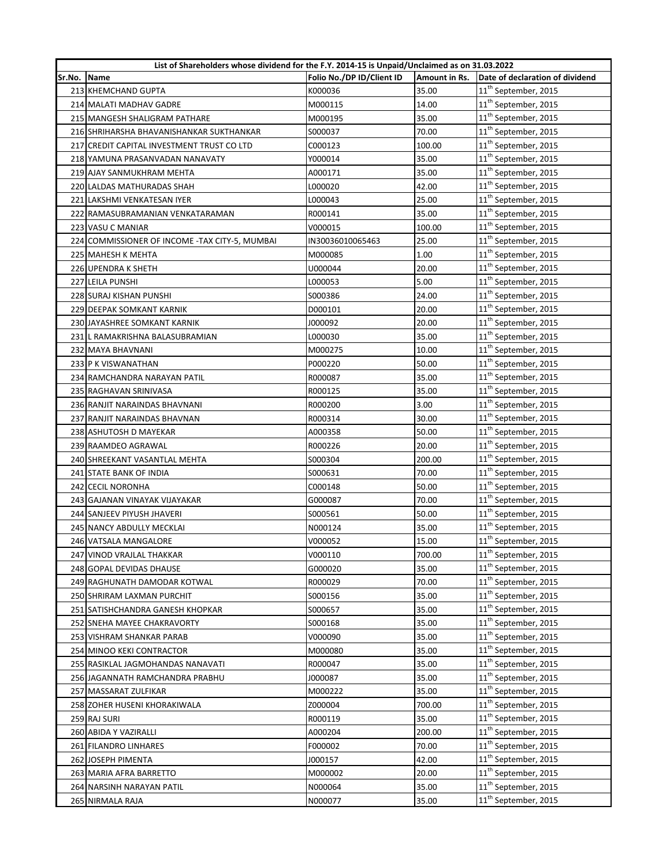|        | List of Shareholders whose dividend for the F.Y. 2014-15 is Unpaid/Unclaimed as on 31.03.2022 |                           |               |                                  |
|--------|-----------------------------------------------------------------------------------------------|---------------------------|---------------|----------------------------------|
| Sr.No. | <b>Name</b>                                                                                   | Folio No./DP ID/Client ID | Amount in Rs. | Date of declaration of dividend  |
|        | 213 KHEMCHAND GUPTA                                                                           | K000036                   | 35.00         | 11 <sup>th</sup> September, 2015 |
|        | 214 MALATI MADHAV GADRE                                                                       | M000115                   | 14.00         | 11 <sup>th</sup> September, 2015 |
|        | 215 MANGESH SHALIGRAM PATHARE                                                                 | M000195                   | 35.00         | 11 <sup>th</sup> September, 2015 |
|        | 216 SHRIHARSHA BHAVANISHANKAR SUKTHANKAR                                                      | S000037                   | 70.00         | 11 <sup>th</sup> September, 2015 |
|        | 217 CREDIT CAPITAL INVESTMENT TRUST CO LTD                                                    | C000123                   | 100.00        | $11^{\text{th}}$ September, 2015 |
|        | 218 YAMUNA PRASANVADAN NANAVATY                                                               | Y000014                   | 35.00         | 11 <sup>th</sup> September, 2015 |
|        | 219 AJAY SANMUKHRAM MEHTA                                                                     | A000171                   | 35.00         | $11^{\text{th}}$ September, 2015 |
|        | 220 LALDAS MATHURADAS SHAH                                                                    | L000020                   | 42.00         | $11^{\text{th}}$ September, 2015 |
|        | 221 LAKSHMI VENKATESAN IYER                                                                   | L000043                   | 25.00         | 11 <sup>th</sup> September, 2015 |
|        | 222 RAMASUBRAMANIAN VENKATARAMAN                                                              | R000141                   | 35.00         | 11 <sup>th</sup> September, 2015 |
|        | 223 VASU C MANIAR                                                                             | V000015                   | 100.00        | 11 <sup>th</sup> September, 2015 |
|        | 224 COMMISSIONER OF INCOME - TAX CITY-5, MUMBAI                                               | IN30036010065463          | 25.00         | 11 <sup>th</sup> September, 2015 |
|        | 225 MAHESH K MEHTA                                                                            | M000085                   | 1.00          | 11 <sup>th</sup> September, 2015 |
|        | 226 UPENDRA K SHETH                                                                           | U000044                   | 20.00         | 11 <sup>th</sup> September, 2015 |
|        | 227 LEILA PUNSHI                                                                              | L000053                   | 5.00          | $11^{\text{th}}$ September, 2015 |
|        | 228 SURAJ KISHAN PUNSHI                                                                       | S000386                   | 24.00         | 11 <sup>th</sup> September, 2015 |
|        | 229 DEEPAK SOMKANT KARNIK                                                                     | D000101                   | 20.00         | 11 <sup>th</sup> September, 2015 |
|        | 230 JAYASHREE SOMKANT KARNIK                                                                  | 000092ا                   | 20.00         | 11 <sup>th</sup> September, 2015 |
|        | 231 L RAMAKRISHNA BALASUBRAMIAN                                                               | L000030                   | 35.00         | 11 <sup>th</sup> September, 2015 |
|        | 232 MAYA BHAVNANI                                                                             | M000275                   | 10.00         | 11 <sup>th</sup> September, 2015 |
|        | 233 P K VISWANATHAN                                                                           | P000220                   | 50.00         | 11 <sup>th</sup> September, 2015 |
|        | 234 RAMCHANDRA NARAYAN PATIL                                                                  | R000087                   | 35.00         | 11 <sup>th</sup> September, 2015 |
|        | 235 RAGHAVAN SRINIVASA                                                                        | R000125                   | 35.00         | 11 <sup>th</sup> September, 2015 |
|        | 236 RANJIT NARAINDAS BHAVNANI                                                                 | R000200                   | 3.00          | 11 <sup>th</sup> September, 2015 |
|        | 237 RANJIT NARAINDAS BHAVNAN                                                                  | R000314                   | 30.00         | 11 <sup>th</sup> September, 2015 |
|        | 238 ASHUTOSH D MAYEKAR                                                                        | A000358                   | 50.00         | 11 <sup>th</sup> September, 2015 |
|        | 239 RAAMDEO AGRAWAL                                                                           | R000226                   | 20.00         | 11 <sup>th</sup> September, 2015 |
|        | 240 SHREEKANT VASANTLAL MEHTA                                                                 | S000304                   | 200.00        | $11^{\text{th}}$ September, 2015 |
|        | 241 STATE BANK OF INDIA                                                                       | S000631                   | 70.00         | 11 <sup>th</sup> September, 2015 |
|        | 242 CECIL NORONHA                                                                             | C000148                   | 50.00         | 11 <sup>th</sup> September, 2015 |
|        | 243 GAJANAN VINAYAK VIJAYAKAR                                                                 | G000087                   | 70.00         | 11 <sup>th</sup> September, 2015 |
|        | 244 SANJEEV PIYUSH JHAVERI                                                                    | \$000561                  | 50.00         | $11^{\text{th}}$ September, 2015 |
|        | 245 NANCY ABDULLY MECKLAI                                                                     | N000124                   | 35.00         | $11^{\text{th}}$ September, 2015 |
|        | 246 VATSALA MANGALORE                                                                         | V000052                   | 15.00         | $11^{\text{th}}$ September, 2015 |
|        | 247 VINOD VRAJLAL THAKKAR                                                                     | V000110                   | 700.00        | 11 <sup>th</sup> September, 2015 |
|        | 248 GOPAL DEVIDAS DHAUSE                                                                      | G000020                   | 35.00         | 11 <sup>th</sup> September, 2015 |
|        | 249 RAGHUNATH DAMODAR KOTWAL                                                                  | R000029                   | 70.00         | 11 <sup>th</sup> September, 2015 |
|        | 250 SHRIRAM LAXMAN PURCHIT                                                                    | S000156                   | 35.00         | 11 <sup>th</sup> September, 2015 |
|        | 251 SATISHCHANDRA GANESH KHOPKAR                                                              | S000657                   | 35.00         | 11 <sup>th</sup> September, 2015 |
|        | 252 SNEHA MAYEE CHAKRAVORTY                                                                   | S000168                   | 35.00         | $11^{\text{th}}$ September, 2015 |
|        | 253 VISHRAM SHANKAR PARAB                                                                     | V000090                   | 35.00         | $11^{\text{th}}$ September, 2015 |
|        | 254 MINOO KEKI CONTRACTOR                                                                     | M000080                   | 35.00         | 11 <sup>th</sup> September, 2015 |
|        | 255 RASIKLAL JAGMOHANDAS NANAVATI                                                             | R000047                   | 35.00         | 11 <sup>th</sup> September, 2015 |
|        | 256 JAGANNATH RAMCHANDRA PRABHU                                                               | J000087                   | 35.00         | 11 <sup>th</sup> September, 2015 |
|        | 257 MASSARAT ZULFIKAR                                                                         | M000222                   | 35.00         | 11 <sup>th</sup> September, 2015 |
|        | 258 ZOHER HUSENI KHORAKIWALA                                                                  | Z000004                   | 700.00        | 11 <sup>th</sup> September, 2015 |
|        | 259 RAJ SURI                                                                                  | R000119                   | 35.00         | 11 <sup>th</sup> September, 2015 |
|        | 260 ABIDA Y VAZIRALLI                                                                         | A000204                   | 200.00        | 11 <sup>th</sup> September, 2015 |
|        | 261 FILANDRO LINHARES                                                                         | F000002                   | 70.00         | 11 <sup>th</sup> September, 2015 |
|        | 262 JOSEPH PIMENTA                                                                            | J000157                   | 42.00         | 11 <sup>th</sup> September, 2015 |
|        | 263 MARIA AFRA BARRETTO                                                                       | M000002                   | 20.00         | 11 <sup>th</sup> September, 2015 |
|        | 264 NARSINH NARAYAN PATIL                                                                     | N000064                   | 35.00         | 11 <sup>th</sup> September, 2015 |
|        | 265 NIRMALA RAJA                                                                              | N000077                   | 35.00         | 11 <sup>th</sup> September, 2015 |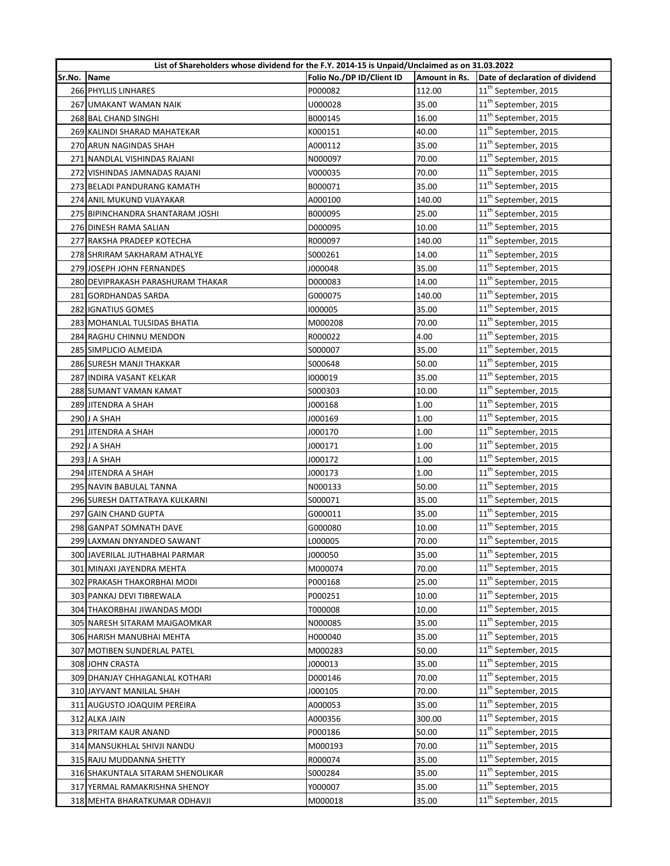|        | List of Shareholders whose dividend for the F.Y. 2014-15 is Unpaid/Unclaimed as on 31.03.2022 |                           |               |                                  |
|--------|-----------------------------------------------------------------------------------------------|---------------------------|---------------|----------------------------------|
| Sr.No. | Name                                                                                          | Folio No./DP ID/Client ID | Amount in Rs. | Date of declaration of dividend  |
|        | 266 PHYLLIS LINHARES                                                                          | P000082                   | 112.00        | 11 <sup>th</sup> September, 2015 |
|        | 267 UMAKANT WAMAN NAIK                                                                        | U000028                   | 35.00         | 11 <sup>th</sup> September, 2015 |
|        | 268 BAL CHAND SINGHI                                                                          | B000145                   | 16.00         | 11 <sup>th</sup> September, 2015 |
|        | 269 KALINDI SHARAD MAHATEKAR                                                                  | K000151                   | 40.00         | 11 <sup>th</sup> September, 2015 |
|        | 270 ARUN NAGINDAS SHAH                                                                        | A000112                   | 35.00         | $11^{\text{th}}$ September, 2015 |
|        | 271 NANDLAL VISHINDAS RAJANI                                                                  | N000097                   | 70.00         | 11 <sup>th</sup> September, 2015 |
|        | 272 VISHINDAS JAMNADAS RAJANI                                                                 | V000035                   | 70.00         | $11^{\text{th}}$ September, 2015 |
|        | 273 BELADI PANDURANG KAMATH                                                                   | B000071                   | 35.00         | $11^{\text{th}}$ September, 2015 |
|        | 274 ANIL MUKUND VIJAYAKAR                                                                     | A000100                   | 140.00        | 11 <sup>th</sup> September, 2015 |
|        | 275 BIPINCHANDRA SHANTARAM JOSHI                                                              | B000095                   | 25.00         | 11 <sup>th</sup> September, 2015 |
|        | 276 DINESH RAMA SALIAN                                                                        | D000095                   | 10.00         | 11 <sup>th</sup> September, 2015 |
|        | 277 RAKSHA PRADEEP KOTECHA                                                                    | R000097                   | 140.00        | 11 <sup>th</sup> September, 2015 |
|        | 278 SHRIRAM SAKHARAM ATHALYE                                                                  | S000261                   | 14.00         | 11 <sup>th</sup> September, 2015 |
|        | 279 JOSEPH JOHN FERNANDES                                                                     | J000048                   | 35.00         | 11 <sup>th</sup> September, 2015 |
|        | 280 DEVIPRAKASH PARASHURAM THAKAR                                                             | D000083                   | 14.00         | $11^{\text{th}}$ September, 2015 |
|        | 281 GORDHANDAS SARDA                                                                          | G000075                   | 140.00        | 11 <sup>th</sup> September, 2015 |
|        | 282 IGNATIUS GOMES                                                                            | 1000005                   | 35.00         | 11 <sup>th</sup> September, 2015 |
|        | 283 MOHANLAL TULSIDAS BHATIA                                                                  | M000208                   | 70.00         | 11 <sup>th</sup> September, 2015 |
|        | 284 RAGHU CHINNU MENDON                                                                       | R000022                   | 4.00          | 11 <sup>th</sup> September, 2015 |
|        | 285 SIMPLICIO ALMEIDA                                                                         | S000007                   | 35.00         | 11 <sup>th</sup> September, 2015 |
|        | 286 SURESH MANJI THAKKAR                                                                      | S000648                   | 50.00         | 11 <sup>th</sup> September, 2015 |
|        | 287 INDIRA VASANT KELKAR                                                                      | 1000019                   | 35.00         | 11 <sup>th</sup> September, 2015 |
|        | 288 SUMANT VAMAN KAMAT                                                                        | S000303                   | 10.00         | 11 <sup>th</sup> September, 2015 |
|        | 289 JITENDRA A SHAH                                                                           | J000168                   | 1.00          | 11 <sup>th</sup> September, 2015 |
|        | 290 J A SHAH                                                                                  | J000169                   | 1.00          | $11^{\text{th}}$ September, 2015 |
|        | 291 JITENDRA A SHAH                                                                           | J000170                   | 1.00          | 11 <sup>th</sup> September, 2015 |
|        | 292 J A SHAH                                                                                  | J000171                   | 1.00          | 11 <sup>th</sup> September, 2015 |
|        | 293 J A SHAH                                                                                  | J000172                   | 1.00          | $11^{\text{th}}$ September, 2015 |
|        | 294 JITENDRA A SHAH                                                                           | J000173                   | 1.00          | 11 <sup>th</sup> September, 2015 |
|        | 295 NAVIN BABULAL TANNA                                                                       | N000133                   | 50.00         | 11 <sup>th</sup> September, 2015 |
|        | 296 SURESH DATTATRAYA KULKARNI                                                                | S000071                   | 35.00         | 11 <sup>th</sup> September, 2015 |
|        | 297 GAIN CHAND GUPTA                                                                          | G000011                   | 35.00         | $11^{\text{th}}$ September, 2015 |
|        | 298 GANPAT SOMNATH DAVE                                                                       | G000080                   | 10.00         | 11 <sup>th</sup> September, 2015 |
|        | 299 LAXMAN DNYANDEO SAWANT                                                                    | L000005                   | 70.00         | 11 <sup>th</sup> September, 2015 |
|        | 300 JAVERILAL JUTHABHAI PARMAR                                                                | J000050                   | 35.00         | 11 <sup>th</sup> September, 2015 |
|        | 301 MINAXI JAYENDRA MEHTA                                                                     | M000074                   | 70.00         | 11 <sup>th</sup> September, 2015 |
|        | 302 PRAKASH THAKORBHAI MODI                                                                   | P000168                   | 25.00         | 11 <sup>th</sup> September, 2015 |
|        | 303 PANKAJ DEVI TIBREWALA                                                                     | P000251                   | 10.00         | 11 <sup>th</sup> September, 2015 |
|        | 304 THAKORBHAI JIWANDAS MODI                                                                  | T000008                   | 10.00         | 11 <sup>th</sup> September, 2015 |
|        | 305 NARESH SITARAM MAJGAOMKAR                                                                 | N000085                   | 35.00         | $11^{\text{th}}$ September, 2015 |
|        | 306 HARISH MANUBHAI MEHTA                                                                     | H000040                   | 35.00         | $11^{\text{th}}$ September, 2015 |
|        | 307 MOTIBEN SUNDERLAL PATEL                                                                   | M000283                   | 50.00         | 11 <sup>th</sup> September, 2015 |
|        | 308 JOHN CRASTA                                                                               | J000013                   | 35.00         | 11 <sup>th</sup> September, 2015 |
|        | 309 DHANJAY CHHAGANLAL KOTHARI                                                                | D000146                   | 70.00         | 11 <sup>th</sup> September, 2015 |
|        | 310 JAYVANT MANILAL SHAH                                                                      | J000105                   | 70.00         | 11 <sup>th</sup> September, 2015 |
|        | 311 AUGUSTO JOAQUIM PEREIRA                                                                   | A000053                   | 35.00         | 11 <sup>th</sup> September, 2015 |
|        | 312 ALKA JAIN                                                                                 | A000356                   | 300.00        | $11^{\text{th}}$ September, 2015 |
|        | 313 PRITAM KAUR ANAND                                                                         | P000186                   | 50.00         | 11 <sup>th</sup> September, 2015 |
|        | 314 MANSUKHLAL SHIVJI NANDU                                                                   | M000193                   | 70.00         | 11 <sup>th</sup> September, 2015 |
|        | 315 RAJU MUDDANNA SHETTY                                                                      | R000074                   | 35.00         | 11 <sup>th</sup> September, 2015 |
|        | 316 SHAKUNTALA SITARAM SHENOLIKAR                                                             | S000284                   | 35.00         | 11 <sup>th</sup> September, 2015 |
|        | 317 YERMAL RAMAKRISHNA SHENOY                                                                 | Y000007                   | 35.00         | 11 <sup>th</sup> September, 2015 |
|        | 318 MEHTA BHARATKUMAR ODHAVJI                                                                 | M000018                   | 35.00         | 11 <sup>th</sup> September, 2015 |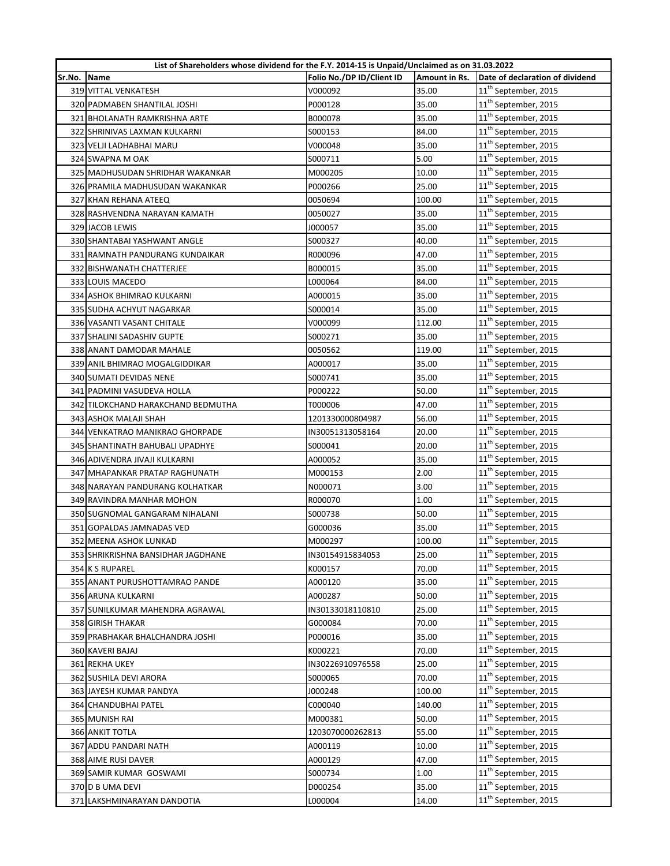|             | List of Shareholders whose dividend for the F.Y. 2014-15 is Unpaid/Unclaimed as on 31.03.2022 |                           |               |                                  |
|-------------|-----------------------------------------------------------------------------------------------|---------------------------|---------------|----------------------------------|
| Sr.No. Name |                                                                                               | Folio No./DP ID/Client ID | Amount in Rs. | Date of declaration of dividend  |
|             | 319 VITTAL VENKATESH                                                                          | V000092                   | 35.00         | 11 <sup>th</sup> September, 2015 |
|             | 320 PADMABEN SHANTILAL JOSHI                                                                  | P000128                   | 35.00         | 11 <sup>th</sup> September, 2015 |
|             | 321 BHOLANATH RAMKRISHNA ARTE                                                                 | B000078                   | 35.00         | 11 <sup>th</sup> September, 2015 |
|             | 322 SHRINIVAS LAXMAN KULKARNI                                                                 | S000153                   | 84.00         | $11^{\text{th}}$ September, 2015 |
|             | 323 VELJI LADHABHAI MARU                                                                      | V000048                   | 35.00         | 11 <sup>th</sup> September, 2015 |
|             | 324 SWAPNA M OAK                                                                              | S000711                   | 5.00          | 11 <sup>th</sup> September, 2015 |
|             | 325 MADHUSUDAN SHRIDHAR WAKANKAR                                                              | M000205                   | 10.00         | $11^{\text{th}}$ September, 2015 |
|             | 326 PRAMILA MADHUSUDAN WAKANKAR                                                               | P000266                   | 25.00         | 11 <sup>th</sup> September, 2015 |
|             | 327 KHAN REHANA ATEEQ                                                                         | 0050694                   | 100.00        | 11 <sup>th</sup> September, 2015 |
|             | 328 RASHVENDNA NARAYAN KAMATH                                                                 | 0050027                   | 35.00         | 11 <sup>th</sup> September, 2015 |
|             | 329 JACOB LEWIS                                                                               | J000057                   | 35.00         | 11 <sup>th</sup> September, 2015 |
|             | 330 SHANTABAI YASHWANT ANGLE                                                                  | S000327                   | 40.00         | 11 <sup>th</sup> September, 2015 |
|             | 331 RAMNATH PANDURANG KUNDAIKAR                                                               | R000096                   | 47.00         | 11 <sup>th</sup> September, 2015 |
|             | 332 BISHWANATH CHATTERJEE                                                                     | B000015                   | 35.00         | 11 <sup>th</sup> September, 2015 |
|             | 333 LOUIS MACEDO                                                                              | L000064                   | 84.00         | 11 <sup>th</sup> September, 2015 |
|             | 334 ASHOK BHIMRAO KULKARNI                                                                    | A000015                   | 35.00         | 11 <sup>th</sup> September, 2015 |
|             | 335 SUDHA ACHYUT NAGARKAR                                                                     | S000014                   | 35.00         | $11^{\text{th}}$ September, 2015 |
|             | 336 VASANTI VASANT CHITALE                                                                    | V000099                   | 112.00        | 11 <sup>th</sup> September, 2015 |
|             | 337 SHALINI SADASHIV GUPTE                                                                    | S000271                   | 35.00         | 11 <sup>th</sup> September, 2015 |
|             | 338 ANANT DAMODAR MAHALE                                                                      | 0050562                   | 119.00        | 11 <sup>th</sup> September, 2015 |
|             | 339 ANIL BHIMRAO MOGALGIDDIKAR                                                                | A000017                   | 35.00         | 11 <sup>th</sup> September, 2015 |
|             | 340 SUMATI DEVIDAS NENE                                                                       | S000741                   | 35.00         | 11 <sup>th</sup> September, 2015 |
|             | 341 PADMINI VASUDEVA HOLLA                                                                    | P000222                   | 50.00         | 11 <sup>th</sup> September, 2015 |
|             | 342 TILOKCHAND HARAKCHAND BEDMUTHA                                                            | T000006                   | 47.00         | 11 <sup>th</sup> September, 2015 |
|             | 343 ASHOK MALAJI SHAH                                                                         | 1201330000804987          | 56.00         | 11 <sup>th</sup> September, 2015 |
|             | 344 VENKATRAO MANIKRAO GHORPADE                                                               | IN30051313058164          | 20.00         | 11 <sup>th</sup> September, 2015 |
|             | 345 SHANTINATH BAHUBALI UPADHYE                                                               | S000041                   | 20.00         | 11 <sup>th</sup> September, 2015 |
|             | 346 ADIVENDRA JIVAJI KULKARNI                                                                 | A000052                   | 35.00         | 11 <sup>th</sup> September, 2015 |
|             | 347 MHAPANKAR PRATAP RAGHUNATH                                                                | M000153                   | 2.00          | 11 <sup>th</sup> September, 2015 |
|             | 348 NARAYAN PANDURANG KOLHATKAR                                                               | N000071                   | 3.00          | 11 <sup>th</sup> September, 2015 |
|             | 349 RAVINDRA MANHAR MOHON                                                                     | R000070                   | 1.00          | 11 <sup>th</sup> September, 2015 |
|             | 350 SUGNOMAL GANGARAM NIHALANI                                                                | S000738                   | 50.00         | $11^{\text{th}}$ September, 2015 |
|             | 351 GOPALDAS JAMNADAS VED                                                                     | G000036                   | 35.00         | 11 <sup>th</sup> September, 2015 |
|             | 352 MEENA ASHOK LUNKAD                                                                        | M000297                   | 100.00        | 11 <sup>th</sup> September, 2015 |
|             | 353 SHRIKRISHNA BANSIDHAR JAGDHANE                                                            | IN30154915834053          | 25.00         | 11 <sup>th</sup> September, 2015 |
|             | 354 K S RUPAREL                                                                               | K000157                   | 70.00         | 11 <sup>th</sup> September, 2015 |
|             | 355 ANANT PURUSHOTTAMRAO PANDE                                                                | A000120                   | 35.00         | 11 <sup>th</sup> September, 2015 |
|             | 356 ARUNA KULKARNI                                                                            | A000287                   | 50.00         | 11 <sup>th</sup> September, 2015 |
|             | 357 SUNILKUMAR MAHENDRA AGRAWAL                                                               | IN30133018110810          | 25.00         | 11 <sup>th</sup> September, 2015 |
|             | 358 GIRISH THAKAR                                                                             | G000084                   | 70.00         | 11 <sup>th</sup> September, 2015 |
|             | 359 PRABHAKAR BHALCHANDRA JOSHI                                                               | P000016                   | 35.00         | 11 <sup>th</sup> September, 2015 |
|             | 360 KAVERI BAJAJ                                                                              | K000221                   | 70.00         | 11 <sup>th</sup> September, 2015 |
|             | 361 REKHA UKEY                                                                                | IN30226910976558          | 25.00         | 11 <sup>th</sup> September, 2015 |
|             | 362 SUSHILA DEVI ARORA                                                                        | S000065                   | 70.00         | 11 <sup>th</sup> September, 2015 |
|             | 363 JAYESH KUMAR PANDYA                                                                       | J000248                   | 100.00        | 11 <sup>th</sup> September, 2015 |
|             | 364 CHANDUBHAI PATEL                                                                          | C000040                   | 140.00        | 11 <sup>th</sup> September, 2015 |
|             | 365 MUNISH RAI                                                                                | M000381                   | 50.00         | 11 <sup>th</sup> September, 2015 |
|             | 366 ANKIT TOTLA                                                                               | 1203070000262813          | 55.00         | 11 <sup>th</sup> September, 2015 |
|             | 367 ADDU PANDARI NATH                                                                         | A000119                   | 10.00         | 11 <sup>th</sup> September, 2015 |
|             | 368 AIME RUSI DAVER                                                                           | A000129                   | 47.00         | 11 <sup>th</sup> September, 2015 |
|             | 369 SAMIR KUMAR GOSWAMI                                                                       | S000734                   | 1.00          | 11 <sup>th</sup> September, 2015 |
|             | 370 D B UMA DEVI                                                                              | D000254                   | 35.00         | 11 <sup>th</sup> September, 2015 |
|             | 371 LAKSHMINARAYAN DANDOTIA                                                                   | L000004                   | 14.00         | 11 <sup>th</sup> September, 2015 |
|             |                                                                                               |                           |               |                                  |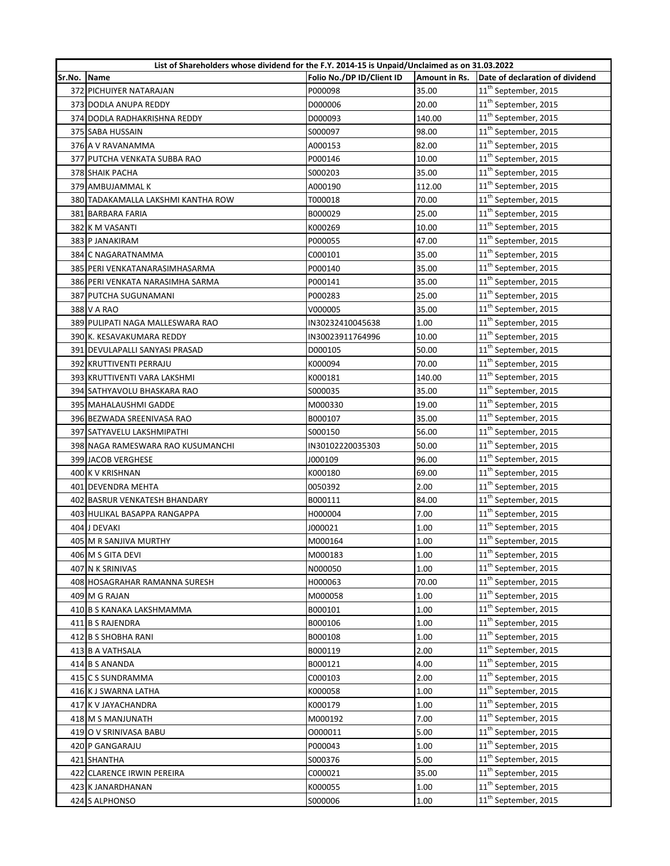|        | List of Shareholders whose dividend for the F.Y. 2014-15 is Unpaid/Unclaimed as on 31.03.2022 |                           |               |                                  |
|--------|-----------------------------------------------------------------------------------------------|---------------------------|---------------|----------------------------------|
| Sr.No. | Name                                                                                          | Folio No./DP ID/Client ID | Amount in Rs. | Date of declaration of dividend  |
|        | 372 PICHUIYER NATARAJAN                                                                       | P000098                   | 35.00         | 11 <sup>th</sup> September, 2015 |
|        | 373 DODLA ANUPA REDDY                                                                         | D000006                   | 20.00         | 11 <sup>th</sup> September, 2015 |
|        | 374 DODLA RADHAKRISHNA REDDY                                                                  | D000093                   | 140.00        | 11 <sup>th</sup> September, 2015 |
|        | 375 SABA HUSSAIN                                                                              | S000097                   | 98.00         | 11 <sup>th</sup> September, 2015 |
|        | 376 A V RAVANAMMA                                                                             | A000153                   | 82.00         | 11 <sup>th</sup> September, 2015 |
|        | 377 PUTCHA VENKATA SUBBA RAO                                                                  | P000146                   | 10.00         | $11^{\text{th}}$ September, 2015 |
|        | 378 SHAIK PACHA                                                                               | S000203                   | 35.00         | 11 <sup>th</sup> September, 2015 |
|        | 379 AMBUJAMMAL K                                                                              | A000190                   | 112.00        | 11 <sup>th</sup> September, 2015 |
|        | 380 TADAKAMALLA LAKSHMI KANTHA ROW                                                            | T000018                   | 70.00         | $11^{\text{th}}$ September, 2015 |
|        | 381 BARBARA FARIA                                                                             | B000029                   | 25.00         | 11 <sup>th</sup> September, 2015 |
|        | 382 K M VASANTI                                                                               | K000269                   | 10.00         | 11 <sup>th</sup> September, 2015 |
|        | 383 P JANAKIRAM                                                                               | P000055                   | 47.00         | 11 <sup>th</sup> September, 2015 |
|        | 384 C NAGARATNAMMA                                                                            | C000101                   | 35.00         | 11 <sup>th</sup> September, 2015 |
|        | 385 PERI VENKATANARASIMHASARMA                                                                | P000140                   | 35.00         | 11 <sup>th</sup> September, 2015 |
|        | 386 PERI VENKATA NARASIMHA SARMA                                                              | P000141                   | 35.00         | $11^{\text{th}}$ September, 2015 |
|        | 387 PUTCHA SUGUNAMANI                                                                         | P000283                   | 25.00         | $11^{\text{th}}$ September, 2015 |
|        | 388 V A RAO                                                                                   | V000005                   | 35.00         | 11 <sup>th</sup> September, 2015 |
|        | 389 PULIPATI NAGA MALLESWARA RAO                                                              | IN30232410045638          | 1.00          | $11^{\text{th}}$ September, 2015 |
|        | 390 K. KESAVAKUMARA REDDY                                                                     | IN30023911764996          | 10.00         | 11 <sup>th</sup> September, 2015 |
|        | 391 DEVULAPALLI SANYASI PRASAD                                                                | D000105                   | 50.00         | 11 <sup>th</sup> September, 2015 |
|        | 392 KRUTTIVENTI PERRAJU                                                                       | K000094                   | 70.00         | 11 <sup>th</sup> September, 2015 |
|        | 393 KRUTTIVENTI VARA LAKSHMI                                                                  | K000181                   | 140.00        | 11 <sup>th</sup> September, 2015 |
|        | 394 SATHYAVOLU BHASKARA RAO                                                                   | S000035                   | 35.00         | $11^{\text{th}}$ September, 2015 |
|        | 395 MAHALAUSHMI GADDE                                                                         | M000330                   | 19.00         | 11 <sup>th</sup> September, 2015 |
|        | 396 BEZWADA SREENIVASA RAO                                                                    | B000107                   | 35.00         | 11 <sup>th</sup> September, 2015 |
|        | 397 SATYAVELU LAKSHMIPATHI                                                                    | S000150                   | 56.00         | 11 <sup>th</sup> September, 2015 |
|        | 398 NAGA RAMESWARA RAO KUSUMANCHI                                                             | IN30102220035303          | 50.00         | 11 <sup>th</sup> September, 2015 |
|        | 399 JACOB VERGHESE                                                                            | J000109                   | 96.00         | 11 <sup>th</sup> September, 2015 |
|        | 400 K V KRISHNAN                                                                              | K000180                   | 69.00         | 11 <sup>th</sup> September, 2015 |
|        | 401 DEVENDRA MEHTA                                                                            | 0050392                   | 2.00          | 11 <sup>th</sup> September, 2015 |
|        | 402 BASRUR VENKATESH BHANDARY                                                                 | B000111                   | 84.00         | 11 <sup>th</sup> September, 2015 |
|        | 403 HULIKAL BASAPPA RANGAPPA                                                                  | H000004                   | 7.00          | 11 <sup>th</sup> September, 2015 |
|        | 404 J DEVAKI                                                                                  | J000021                   | 1.00          | 11 <sup>th</sup> September, 2015 |
|        | 405 M R SANJIVA MURTHY                                                                        | M000164                   | 1.00          | 11 <sup>th</sup> September, 2015 |
|        | 406 M S GITA DEVI                                                                             | M000183                   | 1.00          | 11 <sup>th</sup> September, 2015 |
|        | 407 N K SRINIVAS                                                                              | N000050                   | 1.00          | 11 <sup>th</sup> September, 2015 |
|        | 408 HOSAGRAHAR RAMANNA SURESH                                                                 | H000063                   | 70.00         | 11 <sup>th</sup> September, 2015 |
|        | 409 M G RAJAN                                                                                 | M000058                   | 1.00          | 11 <sup>th</sup> September, 2015 |
|        | 410 B S KANAKA LAKSHMAMMA                                                                     | B000101                   | 1.00          | 11 <sup>th</sup> September, 2015 |
|        | 411 B S RAJENDRA                                                                              | B000106                   | 1.00          | 11 <sup>th</sup> September, 2015 |
|        | 412 B S SHOBHA RANI                                                                           | B000108                   | 1.00          | 11 <sup>th</sup> September, 2015 |
|        | 413 B A VATHSALA                                                                              | B000119                   | 2.00          | $11^{\text{th}}$ September, 2015 |
|        | 414 B S ANANDA                                                                                | B000121                   | 4.00          | 11 <sup>th</sup> September, 2015 |
|        | 415 C S SUNDRAMMA                                                                             | C000103                   | 2.00          | 11 <sup>th</sup> September, 2015 |
|        | 416 K J SWARNA LATHA                                                                          | K000058                   | 1.00          | 11 <sup>th</sup> September, 2015 |
|        | 417 K V JAYACHANDRA                                                                           | K000179                   | 1.00          | 11 <sup>th</sup> September, 2015 |
|        | 418 M S MANJUNATH                                                                             | M000192                   | 7.00          | 11 <sup>th</sup> September, 2015 |
|        | 419 O V SRINIVASA BABU                                                                        | 0000011                   | 5.00          | 11 <sup>th</sup> September, 2015 |
|        | 420 P GANGARAJU                                                                               | P000043                   | 1.00          | 11 <sup>th</sup> September, 2015 |
|        | 421 SHANTHA                                                                                   | S000376                   | 5.00          | 11 <sup>th</sup> September, 2015 |
|        | 422 CLARENCE IRWIN PEREIRA                                                                    | C000021                   | 35.00         | 11 <sup>th</sup> September, 2015 |
|        | 423 K JANARDHANAN                                                                             | K000055                   | 1.00          | 11 <sup>th</sup> September, 2015 |
|        | 424 S ALPHONSO                                                                                | S000006                   | 1.00          | 11 <sup>th</sup> September, 2015 |
|        |                                                                                               |                           |               |                                  |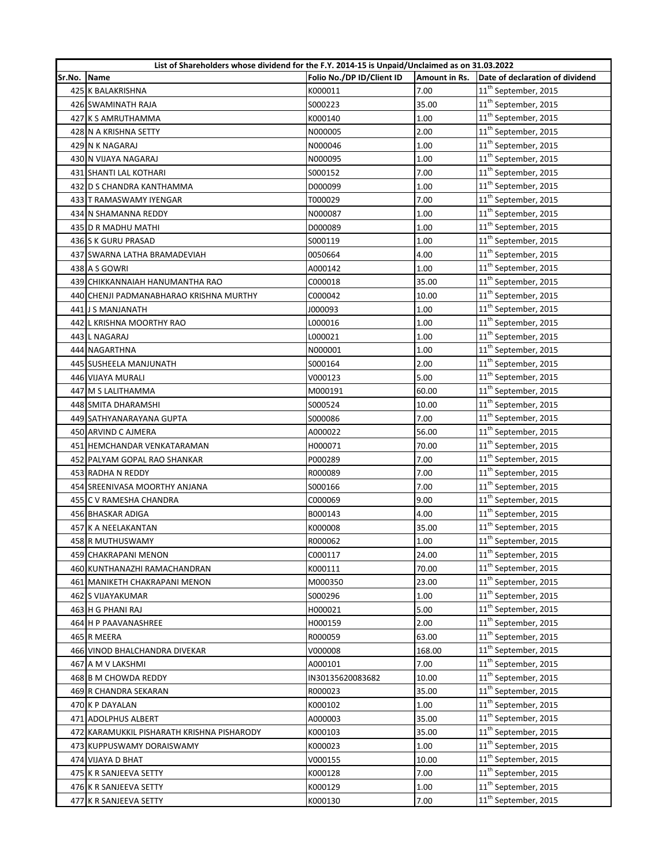|        | List of Shareholders whose dividend for the F.Y. 2014-15 is Unpaid/Unclaimed as on 31.03.2022 |                           |               |                                  |
|--------|-----------------------------------------------------------------------------------------------|---------------------------|---------------|----------------------------------|
| Sr.No. | Name                                                                                          | Folio No./DP ID/Client ID | Amount in Rs. | Date of declaration of dividend  |
|        | 425 K BALAKRISHNA                                                                             | K000011                   | 7.00          | 11 <sup>th</sup> September, 2015 |
|        | 426 SWAMINATH RAJA                                                                            | S000223                   | 35.00         | 11 <sup>th</sup> September, 2015 |
|        | 427 K S AMRUTHAMMA                                                                            | K000140                   | 1.00          | 11 <sup>th</sup> September, 2015 |
|        | 428 N A KRISHNA SETTY                                                                         | N000005                   | 2.00          | 11 <sup>th</sup> September, 2015 |
|        | 429 N K NAGARAJ                                                                               | N000046                   | 1.00          | $11^{\text{th}}$ September, 2015 |
|        | 430 N VIJAYA NAGARAJ                                                                          | N000095                   | 1.00          | 11 <sup>th</sup> September, 2015 |
|        | 431 SHANTI LAL KOTHARI                                                                        | S000152                   | 7.00          | $11^{\text{th}}$ September, 2015 |
|        | 432 D S CHANDRA KANTHAMMA                                                                     | D000099                   | 1.00          | 11 <sup>th</sup> September, 2015 |
|        | 433 T RAMASWAMY IYENGAR                                                                       | T000029                   | 7.00          | 11 <sup>th</sup> September, 2015 |
|        | 434 N SHAMANNA REDDY                                                                          | N000087                   | 1.00          | 11 <sup>th</sup> September, 2015 |
|        | 435 D R MADHU MATHI                                                                           | D000089                   | 1.00          | 11 <sup>th</sup> September, 2015 |
|        | 436 S K GURU PRASAD                                                                           | S000119                   | 1.00          | 11 <sup>th</sup> September, 2015 |
|        | 437 SWARNA LATHA BRAMADEVIAH                                                                  | 0050664                   | 4.00          | 11 <sup>th</sup> September, 2015 |
|        | 438 A S GOWRI                                                                                 | A000142                   | 1.00          | $11^{\text{th}}$ September, 2015 |
|        | 439 CHIKKANNAIAH HANUMANTHA RAO                                                               | C000018                   | 35.00         | 11 <sup>th</sup> September, 2015 |
|        | 440 CHENJI PADMANABHARAO KRISHNA MURTHY                                                       | C000042                   | 10.00         | $11^{\text{th}}$ September, 2015 |
|        | 441 J S MANJANATH                                                                             | 000093                    | 1.00          | 11 <sup>th</sup> September, 2015 |
|        | 442 L KRISHNA MOORTHY RAO                                                                     | L000016                   | 1.00          | 11 <sup>th</sup> September, 2015 |
|        | 443 L NAGARAJ                                                                                 | L000021                   | 1.00          | 11 <sup>th</sup> September, 2015 |
|        | 444 NAGARTHNA                                                                                 | N000001                   | 1.00          | 11 <sup>th</sup> September, 2015 |
|        | 445 SUSHEELA MANJUNATH                                                                        | S000164                   | 2.00          | 11 <sup>th</sup> September, 2015 |
|        | 446 VIJAYA MURALI                                                                             | V000123                   | 5.00          | 11 <sup>th</sup> September, 2015 |
|        | 447 M S LALITHAMMA                                                                            | M000191                   | 60.00         | 11 <sup>th</sup> September, 2015 |
|        | 448 SMITA DHARAMSHI                                                                           | S000524                   | 10.00         | 11 <sup>th</sup> September, 2015 |
|        | 449 SATHYANARAYANA GUPTA                                                                      | \$000086                  | 7.00          | $11^{\text{th}}$ September, 2015 |
|        | 450 ARVIND C AJMERA                                                                           | A000022                   | 56.00         | 11 <sup>th</sup> September, 2015 |
|        | 451 HEMCHANDAR VENKATARAMAN                                                                   | H000071                   | 70.00         | 11 <sup>th</sup> September, 2015 |
|        | 452 PALYAM GOPAL RAO SHANKAR                                                                  | P000289                   | 7.00          | $11^{\text{th}}$ September, 2015 |
|        | 453 RADHA N REDDY                                                                             | R000089                   | 7.00          | 11 <sup>th</sup> September, 2015 |
|        | 454 SREENIVASA MOORTHY ANJANA                                                                 | S000166                   | 7.00          | $11^{\text{th}}$ September, 2015 |
|        | 455 C V RAMESHA CHANDRA                                                                       | C000069                   | 9.00          | 11 <sup>th</sup> September, 2015 |
|        | 456 BHASKAR ADIGA                                                                             | B000143                   | 4.00          | 11 <sup>th</sup> September, 2015 |
|        | 457 K A NEELAKANTAN                                                                           | K000008                   | 35.00         | 11 <sup>th</sup> September, 2015 |
|        | 458 R MUTHUSWAMY                                                                              | R000062                   | 1.00          | 11 <sup>th</sup> September, 2015 |
|        | 459 CHAKRAPANI MENON                                                                          | C000117                   | 24.00         | 11 <sup>th</sup> September, 2015 |
|        | 460 KUNTHANAZHI RAMACHANDRAN                                                                  | K000111                   | 70.00         | 11 <sup>th</sup> September, 2015 |
|        | 461 MANIKETH CHAKRAPANI MENON                                                                 | M000350                   | 23.00         | 11 <sup>th</sup> September, 2015 |
|        | 462 S VIJAYAKUMAR                                                                             | S000296                   | 1.00          | 11 <sup>th</sup> September, 2015 |
|        | 463 H G PHANI RAJ                                                                             | H000021                   | 5.00          | 11 <sup>th</sup> September, 2015 |
|        | 464 H P PAAVANASHREE                                                                          | H000159                   | 2.00          | 11 <sup>th</sup> September, 2015 |
|        | 465 R MEERA                                                                                   | R000059                   | 63.00         | $11^{\text{th}}$ September, 2015 |
|        | 466 VINOD BHALCHANDRA DIVEKAR                                                                 | V000008                   | 168.00        | 11 <sup>th</sup> September, 2015 |
|        | 467 A M V LAKSHMI                                                                             | A000101                   | 7.00          | 11 <sup>th</sup> September, 2015 |
|        | 468 B M CHOWDA REDDY                                                                          | IN30135620083682          | 10.00         | 11 <sup>th</sup> September, 2015 |
|        | 469 R CHANDRA SEKARAN                                                                         | R000023                   | 35.00         | 11 <sup>th</sup> September, 2015 |
|        | 470 K P DAYALAN                                                                               | K000102                   | 1.00          | 11 <sup>th</sup> September, 2015 |
|        | 471 ADOLPHUS ALBERT                                                                           | A000003                   | 35.00         | 11 <sup>th</sup> September, 2015 |
|        | 472 KARAMUKKIL PISHARATH KRISHNA PISHARODY                                                    | K000103                   | 35.00         | 11 <sup>th</sup> September, 2015 |
|        | 473 KUPPUSWAMY DORAISWAMY                                                                     | K000023                   | 1.00          | 11 <sup>th</sup> September, 2015 |
|        | 474 VIJAYA D BHAT                                                                             | V000155                   | 10.00         | 11 <sup>th</sup> September, 2015 |
|        | 475 K R SANJEEVA SETTY                                                                        | K000128                   | 7.00          | 11 <sup>th</sup> September, 2015 |
|        | 476 K R SANJEEVA SETTY                                                                        | K000129                   | 1.00          | 11 <sup>th</sup> September, 2015 |
|        | 477 K R SANJEEVA SETTY                                                                        | K000130                   | 7.00          | 11 <sup>th</sup> September, 2015 |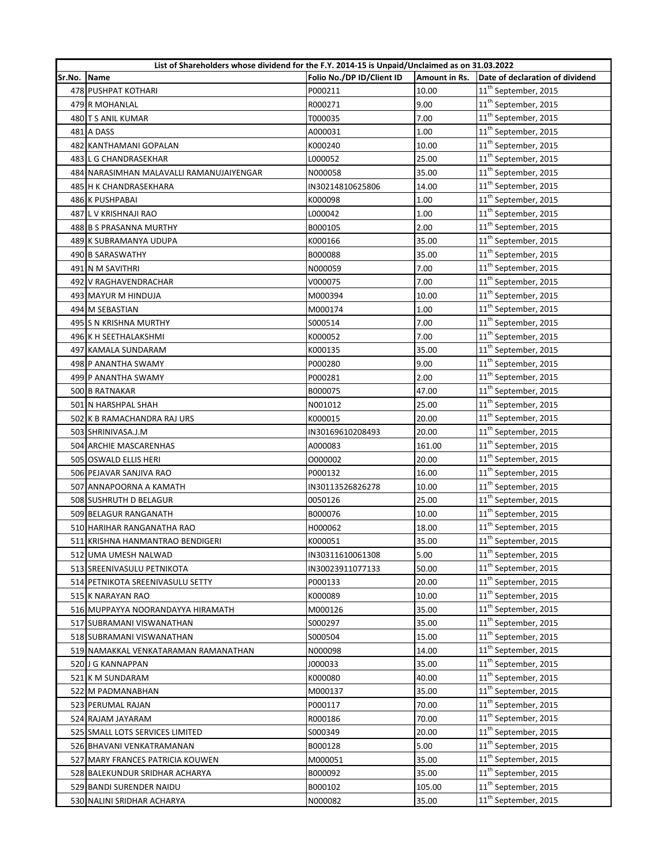|        | List of Shareholders whose dividend for the F.Y. 2014-15 is Unpaid/Unclaimed as on 31.03.2022 |                           |               |                                  |
|--------|-----------------------------------------------------------------------------------------------|---------------------------|---------------|----------------------------------|
| Sr.No. | Name                                                                                          | Folio No./DP ID/Client ID | Amount in Rs. | Date of declaration of dividend  |
|        | 478 PUSHPAT KOTHARI                                                                           | P000211                   | 10.00         | 11 <sup>th</sup> September, 2015 |
|        | 479 R MOHANLAL                                                                                | R000271                   | 9.00          | 11 <sup>th</sup> September, 2015 |
|        | 480 T S ANIL KUMAR                                                                            | T000035                   | 7.00          | 11 <sup>th</sup> September, 2015 |
|        | 481 A DASS                                                                                    | A000031                   | 1.00          | 11 <sup>th</sup> September, 2015 |
|        | 482 KANTHAMANI GOPALAN                                                                        | K000240                   | 10.00         | 11 <sup>th</sup> September, 2015 |
|        | 483 L G CHANDRASEKHAR                                                                         | L000052                   | 25.00         | 11 <sup>th</sup> September, 2015 |
|        | 484 NARASIMHAN MALAVALLI RAMANUJAIYENGAR                                                      | N000058                   | 35.00         | 11 <sup>th</sup> September, 2015 |
|        | 485 H K CHANDRASEKHARA                                                                        | IN30214810625806          | 14.00         | $11^{\text{th}}$ September, 2015 |
|        | 486 K PUSHPABAI                                                                               | K000098                   | 1.00          | 11 <sup>th</sup> September, 2015 |
|        | 487 L V KRISHNAJI RAO                                                                         | L000042                   | 1.00          | 11 <sup>th</sup> September, 2015 |
|        | 488 B S PRASANNA MURTHY                                                                       | B000105                   | 2.00          | 11 <sup>th</sup> September, 2015 |
|        | 489 K SUBRAMANYA UDUPA                                                                        | K000166                   | 35.00         | $11^{\text{th}}$ September, 2015 |
|        | 490 B SARASWATHY                                                                              | B000088                   | 35.00         | 11 <sup>th</sup> September, 2015 |
|        | 491 N M SAVITHRI                                                                              | N000059                   | 7.00          | 11 <sup>th</sup> September, 2015 |
|        | 492 V RAGHAVENDRACHAR                                                                         | V000075                   | 7.00          | $11^{\text{th}}$ September, 2015 |
|        | 493 MAYUR M HINDUJA                                                                           | M000394                   | 10.00         | $11^{\text{th}}$ September, 2015 |
|        | 494 M SEBASTIAN                                                                               | M000174                   | 1.00          | 11 <sup>th</sup> September, 2015 |
|        | 495 S N KRISHNA MURTHY                                                                        | S000514                   | 7.00          | $11^{\text{th}}$ September, 2015 |
|        | 496 K H SEETHALAKSHMI                                                                         | K000052                   | 7.00          | 11 <sup>th</sup> September, 2015 |
|        | 497 KAMALA SUNDARAM                                                                           | K000135                   | 35.00         | 11 <sup>th</sup> September, 2015 |
|        | 498 P ANANTHA SWAMY                                                                           | P000280                   | 9.00          | 11 <sup>th</sup> September, 2015 |
|        | 499 P ANANTHA SWAMY                                                                           | P000281                   | 2.00          | 11 <sup>th</sup> September, 2015 |
|        | 500 B RATNAKAR                                                                                | B000075                   | 47.00         | 11 <sup>th</sup> September, 2015 |
|        | 501 N HARSHPAL SHAH                                                                           | N001012                   | 25.00         | 11 <sup>th</sup> September, 2015 |
|        | 502 K B RAMACHANDRA RAJ URS                                                                   | K000015                   | 20.00         | 11 <sup>th</sup> September, 2015 |
|        | 503 SHRINIVASA.J.M                                                                            | IN30169610208493          | 20.00         | $11^{\text{th}}$ September, 2015 |
|        | 504 ARCHIE MASCARENHAS                                                                        | A000083                   | 161.00        | 11 <sup>th</sup> September, 2015 |
|        | 505 OSWALD ELLIS HERI                                                                         | 0000002                   | 20.00         | $11^{\text{th}}$ September, 2015 |
|        | 506 PEJAVAR SANJIVA RAO                                                                       | P000132                   | 16.00         | 11 <sup>th</sup> September, 2015 |
|        | 507 ANNAPOORNA A KAMATH                                                                       | IN30113526826278          | 10.00         | 11 <sup>th</sup> September, 2015 |
|        | 508 SUSHRUTH D BELAGUR                                                                        | 0050126                   | 25.00         | 11 <sup>th</sup> September, 2015 |
|        | 509 BELAGUR RANGANATH                                                                         | B000076                   | 10.00         | $11^{\text{th}}$ September, 2015 |
|        | 510 HARIHAR RANGANATHA RAO                                                                    | H000062                   | 18.00         | 11 <sup>th</sup> September, 2015 |
|        | 511 KRISHNA HANMANTRAO BENDIGERI                                                              | K000051                   | 35.00         | 11 <sup>th</sup> September, 2015 |
|        | 512 UMA UMESH NALWAD                                                                          | IN30311610061308          | 5.00          | 11 <sup>th</sup> September, 2015 |
|        | 513 SREENIVASULU PETNIKOTA                                                                    | IN30023911077133          | 50.00         | 11 <sup>th</sup> September, 2015 |
|        | 514 PETNIKOTA SREENIVASULU SETTY                                                              | P000133                   | 20.00         | 11 <sup>th</sup> September, 2015 |
|        | 515 K NARAYAN RAO                                                                             | K000089                   | 10.00         | 11 <sup>th</sup> September, 2015 |
|        | 516 MUPPAYYA NOORANDAYYA HIRAMATH                                                             | M000126                   | 35.00         | 11 <sup>th</sup> September, 2015 |
|        | 517 SUBRAMANI VISWANATHAN                                                                     | S000297                   | 35.00         | 11 <sup>th</sup> September, 2015 |
|        | 518 SUBRAMANI VISWANATHAN                                                                     | S000504                   | 15.00         | 11 <sup>th</sup> September, 2015 |
|        | 519 NAMAKKAL VENKATARAMAN RAMANATHAN                                                          | N000098                   | 14.00         | $11^{\text{th}}$ September, 2015 |
|        | 520 J G KANNAPPAN                                                                             | J000033                   | 35.00         | 11 <sup>th</sup> September, 2015 |
|        | 521 K M SUNDARAM                                                                              | K000080                   | 40.00         | 11 <sup>th</sup> September, 2015 |
|        | 522 M PADMANABHAN                                                                             | M000137                   | 35.00         | 11 <sup>th</sup> September, 2015 |
|        | 523 PERUMAL RAJAN                                                                             | P000117                   | 70.00         | 11 <sup>th</sup> September, 2015 |
|        | 524 RAJAM JAYARAM                                                                             | R000186                   | 70.00         | 11 <sup>th</sup> September, 2015 |
|        | 525 SMALL LOTS SERVICES LIMITED                                                               | S000349                   | 20.00         | 11 <sup>th</sup> September, 2015 |
|        | 526 BHAVANI VENKATRAMANAN                                                                     | B000128                   | 5.00          | 11 <sup>th</sup> September, 2015 |
|        | 527 MARY FRANCES PATRICIA KOUWEN                                                              | M000051                   | 35.00         | 11 <sup>th</sup> September, 2015 |
|        | 528 BALEKUNDUR SRIDHAR ACHARYA                                                                | B000092                   | 35.00         | 11 <sup>th</sup> September, 2015 |
|        | 529 BANDI SURENDER NAIDU                                                                      | B000102                   | 105.00        | 11 <sup>th</sup> September, 2015 |
|        | 530 NALINI SRIDHAR ACHARYA                                                                    | N000082                   | 35.00         | 11 <sup>th</sup> September, 2015 |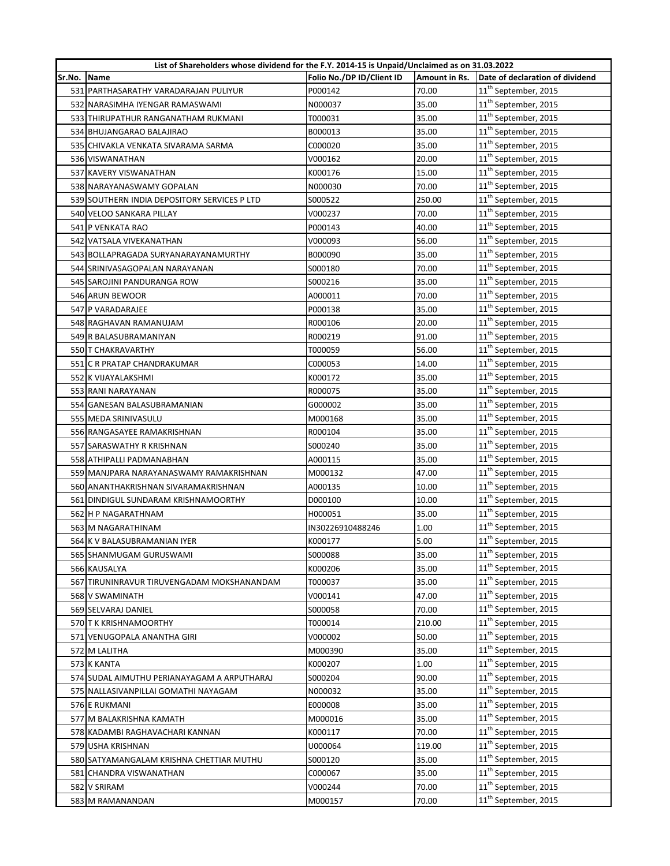|        | List of Shareholders whose dividend for the F.Y. 2014-15 is Unpaid/Unclaimed as on 31.03.2022 |                           |               |                                  |
|--------|-----------------------------------------------------------------------------------------------|---------------------------|---------------|----------------------------------|
| Sr.No. | <b>Name</b>                                                                                   | Folio No./DP ID/Client ID | Amount in Rs. | Date of declaration of dividend  |
|        | 531 PARTHASARATHY VARADARAJAN PULIYUR                                                         | P000142                   | 70.00         | 11 <sup>th</sup> September, 2015 |
|        | 532 NARASIMHA IYENGAR RAMASWAMI                                                               | N000037                   | 35.00         | 11 <sup>th</sup> September, 2015 |
|        | 533 THIRUPATHUR RANGANATHAM RUKMANI                                                           | T000031                   | 35.00         | 11 <sup>th</sup> September, 2015 |
|        | 534 BHUJANGARAO BALAJIRAO                                                                     | B000013                   | 35.00         | 11 <sup>th</sup> September, 2015 |
|        | 535 CHIVAKLA VENKATA SIVARAMA SARMA                                                           | C000020                   | 35.00         | $11^{\text{th}}$ September, 2015 |
|        | 536 VISWANATHAN                                                                               | V000162                   | 20.00         | 11 <sup>th</sup> September, 2015 |
|        | 537 KAVERY VISWANATHAN                                                                        | K000176                   | 15.00         | $11^{\text{th}}$ September, 2015 |
|        | 538 NARAYANASWAMY GOPALAN                                                                     | N000030                   | 70.00         | $11^{\text{th}}$ September, 2015 |
|        | 539 SOUTHERN INDIA DEPOSITORY SERVICES P LTD                                                  | S000522                   | 250.00        | 11 <sup>th</sup> September, 2015 |
|        | 540 VELOO SANKARA PILLAY                                                                      | V000237                   | 70.00         | 11 <sup>th</sup> September, 2015 |
|        | 541 P VENKATA RAO                                                                             | P000143                   | 40.00         | 11 <sup>th</sup> September, 2015 |
|        | 542 VATSALA VIVEKANATHAN                                                                      | V000093                   | 56.00         | 11 <sup>th</sup> September, 2015 |
|        | 543 BOLLAPRAGADA SURYANARAYANAMURTHY                                                          | B000090                   | 35.00         | 11 <sup>th</sup> September, 2015 |
|        | 544 SRINIVASAGOPALAN NARAYANAN                                                                | S000180                   | 70.00         | $11^{\text{th}}$ September, 2015 |
|        | 545 SAROJINI PANDURANGA ROW                                                                   | S000216                   | 35.00         | $11^{\text{th}}$ September, 2015 |
|        | 546 ARUN BEWOOR                                                                               | A000011                   | 70.00         | 11 <sup>th</sup> September, 2015 |
|        | 547 P VARADARAJEE                                                                             | P000138                   | 35.00         | $11^{\text{th}}$ September, 2015 |
|        | 548 RAGHAVAN RAMANUJAM                                                                        | R000106                   | 20.00         | 11 <sup>th</sup> September, 2015 |
|        | 549 R BALASUBRAMANIYAN                                                                        | R000219                   | 91.00         | 11 <sup>th</sup> September, 2015 |
|        | 550 T CHAKRAVARTHY                                                                            | T000059                   | 56.00         | 11 <sup>th</sup> September, 2015 |
|        | 551 C R PRATAP CHANDRAKUMAR                                                                   | C000053                   | 14.00         | 11 <sup>th</sup> September, 2015 |
|        | 552 K VIJAYALAKSHMI                                                                           | K000172                   | 35.00         | 11 <sup>th</sup> September, 2015 |
|        | 553 RANI NARAYANAN                                                                            | R000075                   | 35.00         | 11 <sup>th</sup> September, 2015 |
|        | 554 GANESAN BALASUBRAMANIAN                                                                   | G000002                   | 35.00         | 11 <sup>th</sup> September, 2015 |
|        | 555 MEDA SRINIVASULU                                                                          | M000168                   | 35.00         | 11 <sup>th</sup> September, 2015 |
|        | 556 RANGASAYEE RAMAKRISHNAN                                                                   | R000104                   | 35.00         | 11 <sup>th</sup> September, 2015 |
|        | 557 SARASWATHY R KRISHNAN                                                                     | S000240                   | 35.00         | 11 <sup>th</sup> September, 2015 |
|        | 558 ATHIPALLI PADMANABHAN                                                                     | A000115                   | 35.00         | $11^{\text{th}}$ September, 2015 |
|        | 559 MANJPARA NARAYANASWAMY RAMAKRISHNAN                                                       | M000132                   | 47.00         | 11 <sup>th</sup> September, 2015 |
|        | 560 ANANTHAKRISHNAN SIVARAMAKRISHNAN                                                          | A000135                   | 10.00         | 11 <sup>th</sup> September, 2015 |
|        | 561 DINDIGUL SUNDARAM KRISHNAMOORTHY                                                          | D000100                   | 10.00         | 11 <sup>th</sup> September, 2015 |
|        | 562 H P NAGARATHNAM                                                                           | H000051                   | 35.00         | 11 <sup>th</sup> September, 2015 |
|        | 563 M NAGARATHINAM                                                                            | IN30226910488246          | 1.00          | 11 <sup>th</sup> September, 2015 |
|        | 564 K V BALASUBRAMANIAN IYER                                                                  | K000177                   | 5.00          | 11 <sup>th</sup> September, 2015 |
|        | 565 SHANMUGAM GURUSWAMI                                                                       | S000088                   | 35.00         | 11 <sup>th</sup> September, 2015 |
|        | 566 KAUSALYA                                                                                  | K000206                   | 35.00         | 11 <sup>th</sup> September, 2015 |
|        | 567 TIRUNINRAVUR TIRUVENGADAM MOKSHANANDAM                                                    | T000037                   | 35.00         | 11 <sup>th</sup> September, 2015 |
|        | 568 V SWAMINATH                                                                               | V000141                   | 47.00         | 11 <sup>th</sup> September, 2015 |
|        | 569 SELVARAJ DANIEL                                                                           | S000058                   | 70.00         | 11 <sup>th</sup> September, 2015 |
|        | 570 T K KRISHNAMOORTHY                                                                        | T000014                   | 210.00        | 11 <sup>th</sup> September, 2015 |
|        | 571 VENUGOPALA ANANTHA GIRI                                                                   | V000002                   | 50.00         | 11 <sup>th</sup> September, 2015 |
|        | 572 M LALITHA                                                                                 | M000390                   | 35.00         | 11 <sup>th</sup> September, 2015 |
|        | 573 K KANTA                                                                                   | K000207                   | 1.00          | 11 <sup>th</sup> September, 2015 |
|        | 574 SUDAL AIMUTHU PERIANAYAGAM A ARPUTHARAJ                                                   | S000204                   | 90.00         | 11 <sup>th</sup> September, 2015 |
|        | 575 NALLASIVANPILLAI GOMATHI NAYAGAM                                                          | N000032                   | 35.00         | 11 <sup>th</sup> September, 2015 |
|        | 576 E RUKMANI                                                                                 | E000008                   | 35.00         | 11 <sup>th</sup> September, 2015 |
|        | 577 M BALAKRISHNA KAMATH                                                                      | M000016                   | 35.00         | $11^{\text{th}}$ September, 2015 |
|        | 578 KADAMBI RAGHAVACHARI KANNAN                                                               | K000117                   | 70.00         | 11 <sup>th</sup> September, 2015 |
|        | 579 USHA KRISHNAN                                                                             | U000064                   | 119.00        | 11 <sup>th</sup> September, 2015 |
|        | 580 SATYAMANGALAM KRISHNA CHETTIAR MUTHU                                                      | S000120                   | 35.00         | 11 <sup>th</sup> September, 2015 |
|        | 581 CHANDRA VISWANATHAN                                                                       | C000067                   | 35.00         | 11 <sup>th</sup> September, 2015 |
|        | 582 V SRIRAM                                                                                  | V000244                   | 70.00         | 11 <sup>th</sup> September, 2015 |
|        | 583 M RAMANANDAN                                                                              | M000157                   | 70.00         | 11 <sup>th</sup> September, 2015 |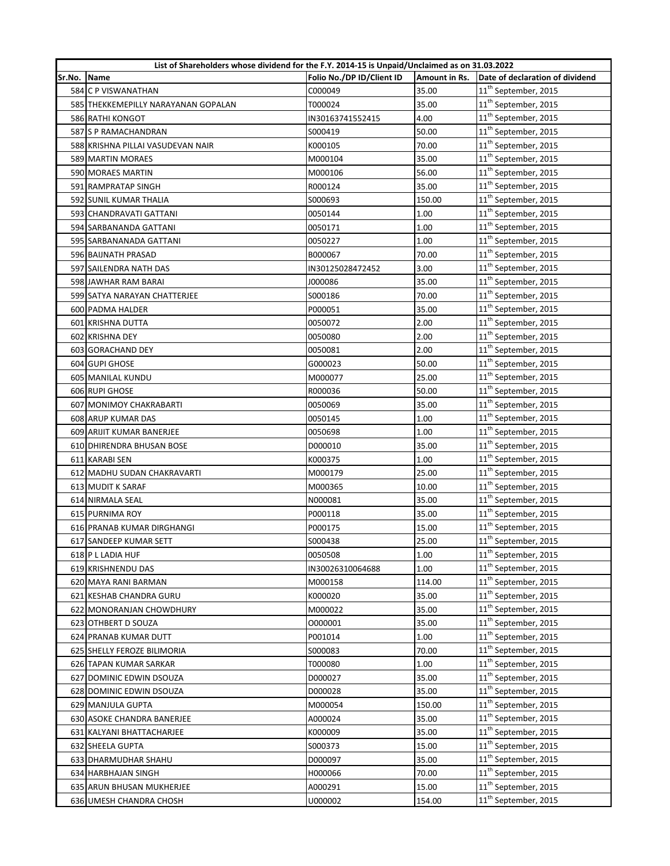|        | List of Shareholders whose dividend for the F.Y. 2014-15 is Unpaid/Unclaimed as on 31.03.2022 |                           |               |                                  |
|--------|-----------------------------------------------------------------------------------------------|---------------------------|---------------|----------------------------------|
| Sr.No. | Name                                                                                          | Folio No./DP ID/Client ID | Amount in Rs. | Date of declaration of dividend  |
|        | 584 C P VISWANATHAN                                                                           | C000049                   | 35.00         | 11 <sup>th</sup> September, 2015 |
|        | 585 THEKKEMEPILLY NARAYANAN GOPALAN                                                           | T000024                   | 35.00         | 11 <sup>th</sup> September, 2015 |
|        | 586 RATHI KONGOT                                                                              | IN30163741552415          | 4.00          | 11 <sup>th</sup> September, 2015 |
|        | 587 S P RAMACHANDRAN                                                                          | S000419                   | 50.00         | 11 <sup>th</sup> September, 2015 |
|        | 588 KRISHNA PILLAI VASUDEVAN NAIR                                                             | K000105                   | 70.00         | 11 <sup>th</sup> September, 2015 |
|        | 589 MARTIN MORAES                                                                             | M000104                   | 35.00         | 11 <sup>th</sup> September, 2015 |
|        | 590 MORAES MARTIN                                                                             | M000106                   | 56.00         | 11 <sup>th</sup> September, 2015 |
|        | 591 RAMPRATAP SINGH                                                                           | R000124                   | 35.00         | $11^{\text{th}}$ September, 2015 |
|        | 592 SUNIL KUMAR THALIA                                                                        | S000693                   | 150.00        | 11 <sup>th</sup> September, 2015 |
|        | 593 CHANDRAVATI GATTANI                                                                       | 0050144                   | 1.00          | 11 <sup>th</sup> September, 2015 |
|        | 594 SARBANANDA GATTANI                                                                        | 0050171                   | 1.00          | 11 <sup>th</sup> September, 2015 |
|        | 595 SARBANANADA GATTANI                                                                       | 0050227                   | 1.00          | $11^{\text{th}}$ September, 2015 |
|        | 596 BAIJNATH PRASAD                                                                           | B000067                   | 70.00         | 11 <sup>th</sup> September, 2015 |
|        | 597 SAILENDRA NATH DAS                                                                        | IN30125028472452          | 3.00          | 11 <sup>th</sup> September, 2015 |
|        | 598 JAWHAR RAM BARAI                                                                          | J000086                   | 35.00         | $11^{\text{th}}$ September, 2015 |
|        | 599 SATYA NARAYAN CHATTERJEE                                                                  | S000186                   | 70.00         | $11^{\text{th}}$ September, 2015 |
|        | 600 PADMA HALDER                                                                              | P000051                   | 35.00         | 11 <sup>th</sup> September, 2015 |
|        | 601 KRISHNA DUTTA                                                                             | 0050072                   | 2.00          | $11^{\text{th}}$ September, 2015 |
|        | 602 KRISHNA DEY                                                                               | 0050080                   | 2.00          | 11 <sup>th</sup> September, 2015 |
|        | 603 GORACHAND DEY                                                                             | 0050081                   | 2.00          | 11 <sup>th</sup> September, 2015 |
|        | 604 GUPI GHOSE                                                                                | G000023                   | 50.00         | 11 <sup>th</sup> September, 2015 |
|        | 605 MANILAL KUNDU                                                                             | M000077                   | 25.00         | 11 <sup>th</sup> September, 2015 |
|        | 606 RUPI GHOSE                                                                                | R000036                   | 50.00         | $11^{\text{th}}$ September, 2015 |
|        | 607 MONIMOY CHAKRABARTI                                                                       | 0050069                   | 35.00         | 11 <sup>th</sup> September, 2015 |
|        | 608 ARUP KUMAR DAS                                                                            | 0050145                   | 1.00          | 11 <sup>th</sup> September, 2015 |
|        | 609 ARIJIT KUMAR BANERJEE                                                                     | 0050698                   | 1.00          | 11 <sup>th</sup> September, 2015 |
|        | 610 DHIRENDRA BHUSAN BOSE                                                                     | D000010                   | 35.00         | 11 <sup>th</sup> September, 2015 |
|        | 611 KARABI SEN                                                                                | K000375                   | 1.00          | 11 <sup>th</sup> September, 2015 |
|        | 612 MADHU SUDAN CHAKRAVARTI                                                                   | M000179                   | 25.00         | 11 <sup>th</sup> September, 2015 |
|        | 613 MUDIT K SARAF                                                                             | M000365                   | 10.00         | 11 <sup>th</sup> September, 2015 |
|        | 614 NIRMALA SEAL                                                                              | N000081                   | 35.00         | 11 <sup>th</sup> September, 2015 |
|        | 615 PURNIMA ROY                                                                               | P000118                   | 35.00         | $11^{\text{th}}$ September, 2015 |
|        | 616 PRANAB KUMAR DIRGHANGI                                                                    | P000175                   | 15.00         | 11 <sup>th</sup> September, 2015 |
|        | 617 SANDEEP KUMAR SETT                                                                        | S000438                   | 25.00         | 11 <sup>th</sup> September, 2015 |
|        | 618 P L LADIA HUF                                                                             | 0050508                   | 1.00          | 11 <sup>th</sup> September, 2015 |
|        | 619 KRISHNENDU DAS                                                                            | IN30026310064688          | 1.00          | 11 <sup>th</sup> September, 2015 |
|        | 620 MAYA RANI BARMAN                                                                          | M000158                   | 114.00        | 11 <sup>th</sup> September, 2015 |
|        | 621 KESHAB CHANDRA GURU                                                                       | K000020                   | 35.00         | 11 <sup>th</sup> September, 2015 |
|        | 622 MONORANJAN CHOWDHURY                                                                      | M000022                   | 35.00         | 11 <sup>th</sup> September, 2015 |
|        | 623 OTHBERT D SOUZA                                                                           | 0000001                   | 35.00         | 11 <sup>th</sup> September, 2015 |
|        | 624 PRANAB KUMAR DUTT                                                                         | P001014                   | 1.00          | 11 <sup>th</sup> September, 2015 |
|        | 625 SHELLY FEROZE BILIMORIA                                                                   | S000083                   | 70.00         | 11 <sup>th</sup> September, 2015 |
|        | 626 TAPAN KUMAR SARKAR                                                                        | T000080                   | 1.00          | 11 <sup>th</sup> September, 2015 |
|        | 627 DOMINIC EDWIN DSOUZA                                                                      | D000027                   | 35.00         | 11 <sup>th</sup> September, 2015 |
|        | 628 DOMINIC EDWIN DSOUZA                                                                      | D000028                   | 35.00         | 11 <sup>th</sup> September, 2015 |
|        | 629 MANJULA GUPTA                                                                             | M000054                   | 150.00        | 11 <sup>th</sup> September, 2015 |
|        | 630 ASOKE CHANDRA BANERJEE                                                                    | A000024                   | 35.00         | 11 <sup>th</sup> September, 2015 |
|        | 631 KALYANI BHATTACHARJEE                                                                     | K000009                   | 35.00         | 11 <sup>th</sup> September, 2015 |
|        | 632 SHEELA GUPTA                                                                              | S000373                   | 15.00         | 11 <sup>th</sup> September, 2015 |
|        | 633 DHARMUDHAR SHAHU                                                                          | D000097                   | 35.00         | 11 <sup>th</sup> September, 2015 |
|        | 634 HARBHAJAN SINGH                                                                           | H000066                   | 70.00         | 11 <sup>th</sup> September, 2015 |
|        | 635 ARUN BHUSAN MUKHERJEE                                                                     | A000291                   | 15.00         | 11 <sup>th</sup> September, 2015 |
|        | 636 UMESH CHANDRA CHOSH                                                                       | U000002                   | 154.00        | 11 <sup>th</sup> September, 2015 |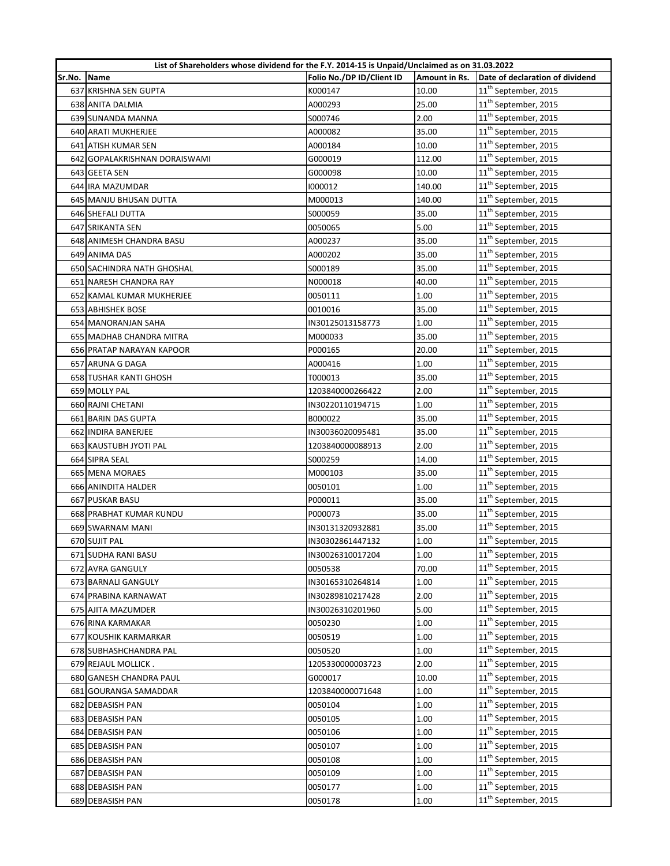| List of Shareholders whose dividend for the F.Y. 2014-15 is Unpaid/Unclaimed as on 31.03.2022 |                               |                           |               |                                  |
|-----------------------------------------------------------------------------------------------|-------------------------------|---------------------------|---------------|----------------------------------|
| Sr.No.                                                                                        | Name                          | Folio No./DP ID/Client ID | Amount in Rs. | Date of declaration of dividend  |
|                                                                                               | 637 KRISHNA SEN GUPTA         | K000147                   | 10.00         | 11 <sup>th</sup> September, 2015 |
|                                                                                               | 638 ANITA DALMIA              | A000293                   | 25.00         | 11 <sup>th</sup> September, 2015 |
|                                                                                               | 639 SUNANDA MANNA             | S000746                   | 2.00          | 11 <sup>th</sup> September, 2015 |
|                                                                                               | 640 ARATI MUKHERJEE           | A000082                   | 35.00         | 11 <sup>th</sup> September, 2015 |
|                                                                                               | 641 ATISH KUMAR SEN           | A000184                   | 10.00         | 11 <sup>th</sup> September, 2015 |
|                                                                                               | 642 GOPALAKRISHNAN DORAISWAMI | G000019                   | 112.00        | 11 <sup>th</sup> September, 2015 |
|                                                                                               | 643 GEETA SEN                 | G000098                   | 10.00         | 11 <sup>th</sup> September, 2015 |
|                                                                                               | 644 IRA MAZUMDAR              | 1000012                   | 140.00        | $11^{\text{th}}$ September, 2015 |
|                                                                                               | 645 MANJU BHUSAN DUTTA        | M000013                   | 140.00        | 11 <sup>th</sup> September, 2015 |
|                                                                                               | 646 SHEFALI DUTTA             | S000059                   | 35.00         | 11 <sup>th</sup> September, 2015 |
|                                                                                               | 647 SRIKANTA SEN              | 0050065                   | 5.00          | 11 <sup>th</sup> September, 2015 |
|                                                                                               | 648 ANIMESH CHANDRA BASU      | A000237                   | 35.00         | $11^{\text{th}}$ September, 2015 |
|                                                                                               | 649 ANIMA DAS                 | A000202                   | 35.00         | 11 <sup>th</sup> September, 2015 |
|                                                                                               | 650 SACHINDRA NATH GHOSHAL    | S000189                   | 35.00         | 11 <sup>th</sup> September, 2015 |
|                                                                                               | 651 NARESH CHANDRA RAY        | N000018                   | 40.00         | $11^{\text{th}}$ September, 2015 |
|                                                                                               | 652 KAMAL KUMAR MUKHERJEE     | 0050111                   | 1.00          | $11^{\text{th}}$ September, 2015 |
|                                                                                               | <b>653 ABHISHEK BOSE</b>      | 0010016                   | 35.00         | 11 <sup>th</sup> September, 2015 |
|                                                                                               | 654 MANORANJAN SAHA           | IN30125013158773          | 1.00          | $11^{\text{th}}$ September, 2015 |
|                                                                                               | 655 MADHAB CHANDRA MITRA      | M000033                   | 35.00         | 11 <sup>th</sup> September, 2015 |
|                                                                                               | 656 PRATAP NARAYAN KAPOOR     | P000165                   | 20.00         | 11 <sup>th</sup> September, 2015 |
|                                                                                               | 657 ARUNA G DAGA              | A000416                   | 1.00          | 11 <sup>th</sup> September, 2015 |
|                                                                                               | 658 TUSHAR KANTI GHOSH        | T000013                   | 35.00         | 11 <sup>th</sup> September, 2015 |
|                                                                                               | 659 MOLLY PAL                 | 1203840000266422          | 2.00          | $11^{\text{th}}$ September, 2015 |
|                                                                                               | 660 RAJNI CHETANI             | IN30220110194715          | 1.00          | 11 <sup>th</sup> September, 2015 |
|                                                                                               | 661 BARIN DAS GUPTA           | B000022                   | 35.00         | 11 <sup>th</sup> September, 2015 |
|                                                                                               | 662 INDIRA BANERJEE           | IN30036020095481          | 35.00         | 11 <sup>th</sup> September, 2015 |
|                                                                                               | 663 KAUSTUBH JYOTI PAL        | 1203840000088913          | 2.00          | 11 <sup>th</sup> September, 2015 |
|                                                                                               | 664 SIPRA SEAL                | S000259                   | 14.00         | $11^{\text{th}}$ September, 2015 |
|                                                                                               | 665 MENA MORAES               | M000103                   | 35.00         | 11 <sup>th</sup> September, 2015 |
|                                                                                               | 666 ANINDITA HALDER           | 0050101                   | 1.00          | 11 <sup>th</sup> September, 2015 |
|                                                                                               | 667 PUSKAR BASU               | P000011                   | 35.00         | 11 <sup>th</sup> September, 2015 |
|                                                                                               | 668 PRABHAT KUMAR KUNDU       | P000073                   | 35.00         | 11 <sup>th</sup> September, 2015 |
|                                                                                               | 669 SWARNAM MANI              | IN30131320932881          | 35.00         | 11 <sup>th</sup> September, 2015 |
|                                                                                               | 670 SUJIT PAL                 | IN30302861447132          | 1.00          | 11 <sup>th</sup> September, 2015 |
|                                                                                               | 671 SUDHA RANI BASU           | IN30026310017204          | 1.00          | 11 <sup>th</sup> September, 2015 |
|                                                                                               | 672 AVRA GANGULY              | 0050538                   | 70.00         | 11 <sup>th</sup> September, 2015 |
|                                                                                               | 673 BARNALI GANGULY           | IN30165310264814          | 1.00          | 11 <sup>th</sup> September, 2015 |
|                                                                                               | 674 PRABINA KARNAWAT          | IN30289810217428          | 2.00          | 11 <sup>th</sup> September, 2015 |
|                                                                                               | 675 AJITA MAZUMDER            | IN30026310201960          | 5.00          | 11 <sup>th</sup> September, 2015 |
|                                                                                               | 676 RINA KARMAKAR             | 0050230                   | 1.00          | 11 <sup>th</sup> September, 2015 |
|                                                                                               | 677 KOUSHIK KARMARKAR         | 0050519                   | 1.00          | 11 <sup>th</sup> September, 2015 |
|                                                                                               | 678 SUBHASHCHANDRA PAL        | 0050520                   | 1.00          | $11^{\text{th}}$ September, 2015 |
|                                                                                               | 679 REJAUL MOLLICK.           | 1205330000003723          | 2.00          | 11 <sup>th</sup> September, 2015 |
|                                                                                               | 680 GANESH CHANDRA PAUL       | G000017                   | 10.00         | 11 <sup>th</sup> September, 2015 |
|                                                                                               | 681 GOURANGA SAMADDAR         | 1203840000071648          | 1.00          | 11 <sup>th</sup> September, 2015 |
|                                                                                               | 682 DEBASISH PAN              | 0050104                   | 1.00          | 11 <sup>th</sup> September, 2015 |
|                                                                                               | 683 DEBASISH PAN              | 0050105                   | 1.00          | 11 <sup>th</sup> September, 2015 |
|                                                                                               | 684 DEBASISH PAN              | 0050106                   | 1.00          | 11 <sup>th</sup> September, 2015 |
|                                                                                               | 685 DEBASISH PAN              | 0050107                   | 1.00          | 11 <sup>th</sup> September, 2015 |
|                                                                                               | 686 DEBASISH PAN              | 0050108                   | 1.00          | 11 <sup>th</sup> September, 2015 |
|                                                                                               | 687 DEBASISH PAN              | 0050109                   | 1.00          | 11 <sup>th</sup> September, 2015 |
|                                                                                               | 688 DEBASISH PAN              | 0050177                   | 1.00          | 11 <sup>th</sup> September, 2015 |
|                                                                                               | 689 DEBASISH PAN              | 0050178                   | 1.00          | 11 <sup>th</sup> September, 2015 |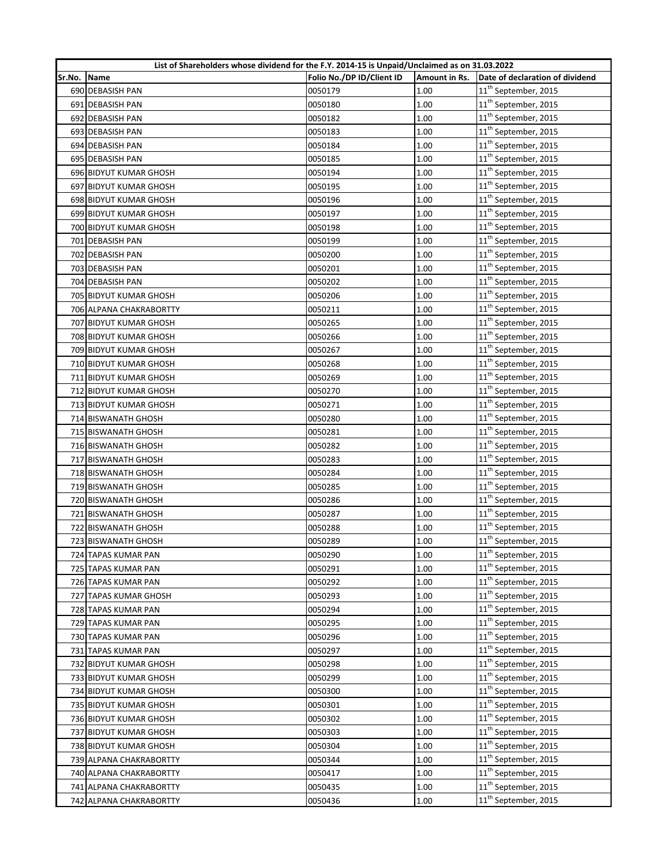|        | List of Shareholders whose dividend for the F.Y. 2014-15 is Unpaid/Unclaimed as on 31.03.2022 |                           |               |                                  |
|--------|-----------------------------------------------------------------------------------------------|---------------------------|---------------|----------------------------------|
| Sr.No. | <b>Name</b>                                                                                   | Folio No./DP ID/Client ID | Amount in Rs. | Date of declaration of dividend  |
|        | 690 DEBASISH PAN                                                                              | 0050179                   | 1.00          | 11 <sup>th</sup> September, 2015 |
|        | 691 DEBASISH PAN                                                                              | 0050180                   | 1.00          | 11 <sup>th</sup> September, 2015 |
|        | 692 DEBASISH PAN                                                                              | 0050182                   | 1.00          | 11 <sup>th</sup> September, 2015 |
|        | 693 DEBASISH PAN                                                                              | 0050183                   | 1.00          | 11 <sup>th</sup> September, 2015 |
|        | 694 DEBASISH PAN                                                                              | 0050184                   | 1.00          | $11^{\text{th}}$ September, 2015 |
|        | 695 DEBASISH PAN                                                                              | 0050185                   | 1.00          | 11 <sup>th</sup> September, 2015 |
|        | 696 BIDYUT KUMAR GHOSH                                                                        | 0050194                   | 1.00          | $11^{\text{th}}$ September, 2015 |
|        | 697 BIDYUT KUMAR GHOSH                                                                        | 0050195                   | 1.00          | 11 <sup>th</sup> September, 2015 |
|        | 698 BIDYUT KUMAR GHOSH                                                                        | 0050196                   | 1.00          | 11 <sup>th</sup> September, 2015 |
|        | 699 BIDYUT KUMAR GHOSH                                                                        | 0050197                   | 1.00          | 11 <sup>th</sup> September, 2015 |
|        | 700 BIDYUT KUMAR GHOSH                                                                        | 0050198                   | 1.00          | 11 <sup>th</sup> September, 2015 |
|        | 701 DEBASISH PAN                                                                              | 0050199                   | 1.00          | 11 <sup>th</sup> September, 2015 |
|        | 702 DEBASISH PAN                                                                              | 0050200                   | 1.00          | 11 <sup>th</sup> September, 2015 |
|        | 703 DEBASISH PAN                                                                              | 0050201                   | 1.00          | 11 <sup>th</sup> September, 2015 |
|        | 704 DEBASISH PAN                                                                              | 0050202                   | 1.00          | 11 <sup>th</sup> September, 2015 |
|        | 705 BIDYUT KUMAR GHOSH                                                                        | 0050206                   | 1.00          | $11^{\text{th}}$ September, 2015 |
|        | 706 ALPANA CHAKRABORTTY                                                                       | 0050211                   | 1.00          | 11 <sup>th</sup> September, 2015 |
|        | 707 BIDYUT KUMAR GHOSH                                                                        | 0050265                   | 1.00          | 11 <sup>th</sup> September, 2015 |
|        | 708 BIDYUT KUMAR GHOSH                                                                        | 0050266                   | 1.00          | 11 <sup>th</sup> September, 2015 |
|        | 709 BIDYUT KUMAR GHOSH                                                                        | 0050267                   | 1.00          | 11 <sup>th</sup> September, 2015 |
|        | 710 BIDYUT KUMAR GHOSH                                                                        | 0050268                   | 1.00          | 11 <sup>th</sup> September, 2015 |
|        | 711 BIDYUT KUMAR GHOSH                                                                        | 0050269                   | 1.00          | 11 <sup>th</sup> September, 2015 |
|        | 712 BIDYUT KUMAR GHOSH                                                                        | 0050270                   | 1.00          | 11 <sup>th</sup> September, 2015 |
|        | 713 BIDYUT KUMAR GHOSH                                                                        | 0050271                   | 1.00          | 11 <sup>th</sup> September, 2015 |
|        | 714 BISWANATH GHOSH                                                                           | 0050280                   | 1.00          | $11^{\text{th}}$ September, 2015 |
|        | 715 BISWANATH GHOSH                                                                           | 0050281                   | 1.00          | 11 <sup>th</sup> September, 2015 |
|        | 716 BISWANATH GHOSH                                                                           | 0050282                   | 1.00          | 11 <sup>th</sup> September, 2015 |
|        | 717 BISWANATH GHOSH                                                                           | 0050283                   | 1.00          | $11^{\text{th}}$ September, 2015 |
|        | 718 BISWANATH GHOSH                                                                           | 0050284                   | 1.00          | 11 <sup>th</sup> September, 2015 |
|        | 719 BISWANATH GHOSH                                                                           | 0050285                   | 1.00          | 11 <sup>th</sup> September, 2015 |
|        | 720 BISWANATH GHOSH                                                                           | 0050286                   | 1.00          | 11 <sup>th</sup> September, 2015 |
|        | 721 BISWANATH GHOSH                                                                           | 0050287                   | 1.00          | 11 <sup>th</sup> September, 2015 |
|        | 722 BISWANATH GHOSH                                                                           | 0050288                   | 1.00          | 11 <sup>th</sup> September, 2015 |
|        | 723 BISWANATH GHOSH                                                                           | 0050289                   | 1.00          | 11 <sup>th</sup> September, 2015 |
|        | 724 TAPAS KUMAR PAN                                                                           | 0050290                   | 1.00          | 11 <sup>th</sup> September, 2015 |
|        | 725 TAPAS KUMAR PAN                                                                           | 0050291                   | 1.00          | 11 <sup>th</sup> September, 2015 |
|        | 726 TAPAS KUMAR PAN                                                                           | 0050292                   | 1.00          | 11 <sup>th</sup> September, 2015 |
|        | 727 TAPAS KUMAR GHOSH                                                                         | 0050293                   | 1.00          | 11 <sup>th</sup> September, 2015 |
|        | 728 TAPAS KUMAR PAN                                                                           | 0050294                   | 1.00          | 11 <sup>th</sup> September, 2015 |
|        | 729 TAPAS KUMAR PAN                                                                           | 0050295                   | 1.00          | 11 <sup>th</sup> September, 2015 |
|        | 730 TAPAS KUMAR PAN                                                                           | 0050296                   | 1.00          | 11 <sup>th</sup> September, 2015 |
|        | 731 TAPAS KUMAR PAN                                                                           | 0050297                   | 1.00          | 11 <sup>th</sup> September, 2015 |
|        | 732 BIDYUT KUMAR GHOSH                                                                        | 0050298                   | 1.00          | 11 <sup>th</sup> September, 2015 |
|        | 733 BIDYUT KUMAR GHOSH                                                                        | 0050299                   | 1.00          | 11 <sup>th</sup> September, 2015 |
|        | 734 BIDYUT KUMAR GHOSH                                                                        | 0050300                   | 1.00          | 11 <sup>th</sup> September, 2015 |
|        | 735 BIDYUT KUMAR GHOSH                                                                        | 0050301                   | 1.00          | 11 <sup>th</sup> September, 2015 |
|        | 736 BIDYUT KUMAR GHOSH                                                                        | 0050302                   | 1.00          | 11 <sup>th</sup> September, 2015 |
|        | 737 BIDYUT KUMAR GHOSH                                                                        | 0050303                   | 1.00          | 11 <sup>th</sup> September, 2015 |
|        | 738 BIDYUT KUMAR GHOSH                                                                        | 0050304                   | 1.00          | 11 <sup>th</sup> September, 2015 |
|        | 739 ALPANA CHAKRABORTTY                                                                       | 0050344                   | 1.00          | 11 <sup>th</sup> September, 2015 |
|        | 740 ALPANA CHAKRABORTTY                                                                       | 0050417                   | 1.00          | 11 <sup>th</sup> September, 2015 |
|        | 741 ALPANA CHAKRABORTTY                                                                       | 0050435                   | 1.00          | 11 <sup>th</sup> September, 2015 |
|        | 742 ALPANA CHAKRABORTTY                                                                       | 0050436                   | 1.00          | 11 <sup>th</sup> September, 2015 |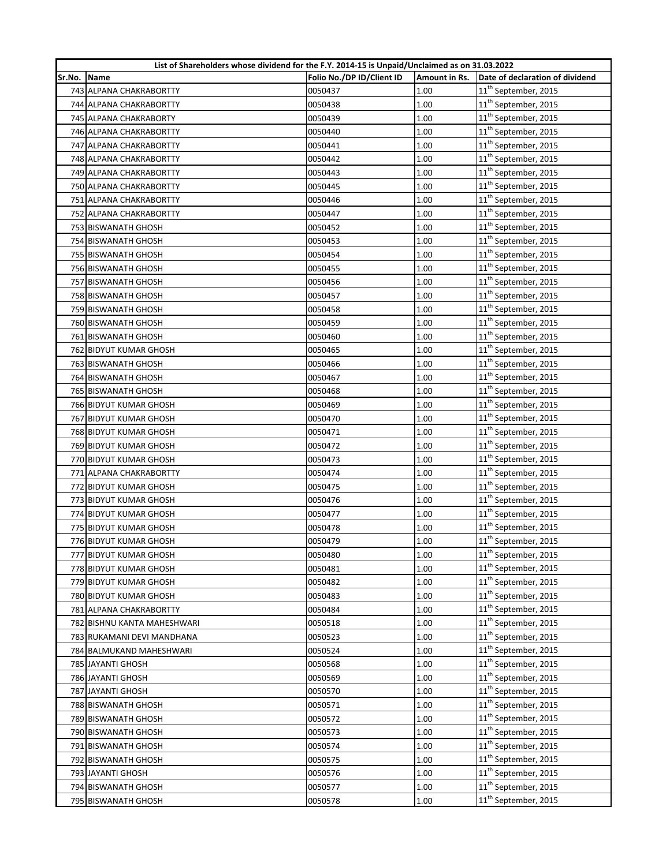|        | List of Shareholders whose dividend for the F.Y. 2014-15 is Unpaid/Unclaimed as on 31.03.2022 |                           |               |                                  |
|--------|-----------------------------------------------------------------------------------------------|---------------------------|---------------|----------------------------------|
| Sr.No. | <b>Name</b>                                                                                   | Folio No./DP ID/Client ID | Amount in Rs. | Date of declaration of dividend  |
|        | 743 ALPANA CHAKRABORTTY                                                                       | 0050437                   | 1.00          | 11 <sup>th</sup> September, 2015 |
|        | 744 ALPANA CHAKRABORTTY                                                                       | 0050438                   | 1.00          | 11 <sup>th</sup> September, 2015 |
|        | 745 ALPANA CHAKRABORTY                                                                        | 0050439                   | 1.00          | 11 <sup>th</sup> September, 2015 |
|        | 746 ALPANA CHAKRABORTTY                                                                       | 0050440                   | 1.00          | 11 <sup>th</sup> September, 2015 |
|        | 747 ALPANA CHAKRABORTTY                                                                       | 0050441                   | 1.00          | $11^{\text{th}}$ September, 2015 |
|        | 748 ALPANA CHAKRABORTTY                                                                       | 0050442                   | 1.00          | 11 <sup>th</sup> September, 2015 |
|        | 749 ALPANA CHAKRABORTTY                                                                       | 0050443                   | 1.00          | $11^{\text{th}}$ September, 2015 |
|        | 750 ALPANA CHAKRABORTTY                                                                       | 0050445                   | 1.00          | $11^{\text{th}}$ September, 2015 |
|        | 751 ALPANA CHAKRABORTTY                                                                       | 0050446                   | 1.00          | 11 <sup>th</sup> September, 2015 |
|        | 752 ALPANA CHAKRABORTTY                                                                       | 0050447                   | 1.00          | 11 <sup>th</sup> September, 2015 |
|        | 753 BISWANATH GHOSH                                                                           | 0050452                   | 1.00          | 11 <sup>th</sup> September, 2015 |
|        | 754 BISWANATH GHOSH                                                                           | 0050453                   | 1.00          | 11 <sup>th</sup> September, 2015 |
|        | 755 BISWANATH GHOSH                                                                           | 0050454                   | 1.00          | 11 <sup>th</sup> September, 2015 |
|        | 756 BISWANATH GHOSH                                                                           | 0050455                   | 1.00          | 11 <sup>th</sup> September, 2015 |
|        | 757 BISWANATH GHOSH                                                                           | 0050456                   | 1.00          | 11 <sup>th</sup> September, 2015 |
|        | 758 BISWANATH GHOSH                                                                           | 0050457                   | 1.00          | 11 <sup>th</sup> September, 2015 |
|        | 759 BISWANATH GHOSH                                                                           | 0050458                   | 1.00          | 11 <sup>th</sup> September, 2015 |
|        | 760 BISWANATH GHOSH                                                                           | 0050459                   | 1.00          | 11 <sup>th</sup> September, 2015 |
|        | 761 BISWANATH GHOSH                                                                           | 0050460                   | 1.00          | 11 <sup>th</sup> September, 2015 |
|        | 762 BIDYUT KUMAR GHOSH                                                                        | 0050465                   | 1.00          | 11 <sup>th</sup> September, 2015 |
|        | 763 BISWANATH GHOSH                                                                           | 0050466                   | 1.00          | 11 <sup>th</sup> September, 2015 |
|        | 764 BISWANATH GHOSH                                                                           | 0050467                   | 1.00          | 11 <sup>th</sup> September, 2015 |
|        | 765 BISWANATH GHOSH                                                                           | 0050468                   | 1.00          | 11 <sup>th</sup> September, 2015 |
|        | 766 BIDYUT KUMAR GHOSH                                                                        | 0050469                   | 1.00          | 11 <sup>th</sup> September, 2015 |
|        | 767 BIDYUT KUMAR GHOSH                                                                        | 0050470                   | 1.00          | $11^{\text{th}}$ September, 2015 |
|        | 768 BIDYUT KUMAR GHOSH                                                                        | 0050471                   | 1.00          | 11 <sup>th</sup> September, 2015 |
|        | 769 BIDYUT KUMAR GHOSH                                                                        | 0050472                   | 1.00          | 11 <sup>th</sup> September, 2015 |
|        | 770 BIDYUT KUMAR GHOSH                                                                        | 0050473                   | 1.00          | $11^{\text{th}}$ September, 2015 |
|        | 771 ALPANA CHAKRABORTTY                                                                       | 0050474                   | 1.00          | 11 <sup>th</sup> September, 2015 |
|        | 772 BIDYUT KUMAR GHOSH                                                                        | 0050475                   | 1.00          | 11 <sup>th</sup> September, 2015 |
|        | 773 BIDYUT KUMAR GHOSH                                                                        | 0050476                   | 1.00          | 11 <sup>th</sup> September, 2015 |
|        | 774 BIDYUT KUMAR GHOSH                                                                        | 0050477                   | 1.00          | $11^{\text{th}}$ September, 2015 |
|        | 775 BIDYUT KUMAR GHOSH                                                                        | 0050478                   | 1.00          | 11 <sup>th</sup> September, 2015 |
|        | 776 BIDYUT KUMAR GHOSH                                                                        | 0050479                   | 1.00          | $11^{\text{th}}$ September, 2015 |
|        | 777 BIDYUT KUMAR GHOSH                                                                        | 0050480                   | 1.00          | 11 <sup>th</sup> September, 2015 |
|        | 778 BIDYUT KUMAR GHOSH                                                                        | 0050481                   | 1.00          | 11 <sup>th</sup> September, 2015 |
|        | 779 BIDYUT KUMAR GHOSH                                                                        | 0050482                   | 1.00          | 11 <sup>th</sup> September, 2015 |
|        | 780 BIDYUT KUMAR GHOSH                                                                        | 0050483                   | 1.00          | 11 <sup>th</sup> September, 2015 |
|        | 781 ALPANA CHAKRABORTTY                                                                       | 0050484                   | 1.00          | 11 <sup>th</sup> September, 2015 |
|        | 782 BISHNU KANTA MAHESHWARI                                                                   | 0050518                   | 1.00          | 11 <sup>th</sup> September, 2015 |
|        | 783 RUKAMANI DEVI MANDHANA                                                                    | 0050523                   | 1.00          | 11 <sup>th</sup> September, 2015 |
|        | 784 BALMUKAND MAHESHWARI                                                                      | 0050524                   | 1.00          | 11 <sup>th</sup> September, 2015 |
|        | 785 JAYANTI GHOSH                                                                             | 0050568                   | 1.00          | 11 <sup>th</sup> September, 2015 |
|        | 786 JAYANTI GHOSH                                                                             | 0050569                   | 1.00          | 11 <sup>th</sup> September, 2015 |
|        | 787 JAYANTI GHOSH                                                                             | 0050570                   | 1.00          | 11 <sup>th</sup> September, 2015 |
|        | 788 BISWANATH GHOSH                                                                           | 0050571                   | 1.00          | 11 <sup>th</sup> September, 2015 |
|        | 789 BISWANATH GHOSH                                                                           | 0050572                   | 1.00          | 11 <sup>th</sup> September, 2015 |
|        | 790 BISWANATH GHOSH                                                                           | 0050573                   | 1.00          | 11 <sup>th</sup> September, 2015 |
|        | 791 BISWANATH GHOSH                                                                           | 0050574                   | 1.00          | 11 <sup>th</sup> September, 2015 |
|        | 792 BISWANATH GHOSH                                                                           | 0050575                   | 1.00          | 11 <sup>th</sup> September, 2015 |
|        | 793 JAYANTI GHOSH                                                                             | 0050576                   | 1.00          | 11 <sup>th</sup> September, 2015 |
|        | 794 BISWANATH GHOSH                                                                           | 0050577                   | 1.00          | 11 <sup>th</sup> September, 2015 |
|        | 795 BISWANATH GHOSH                                                                           | 0050578                   | 1.00          | 11 <sup>th</sup> September, 2015 |